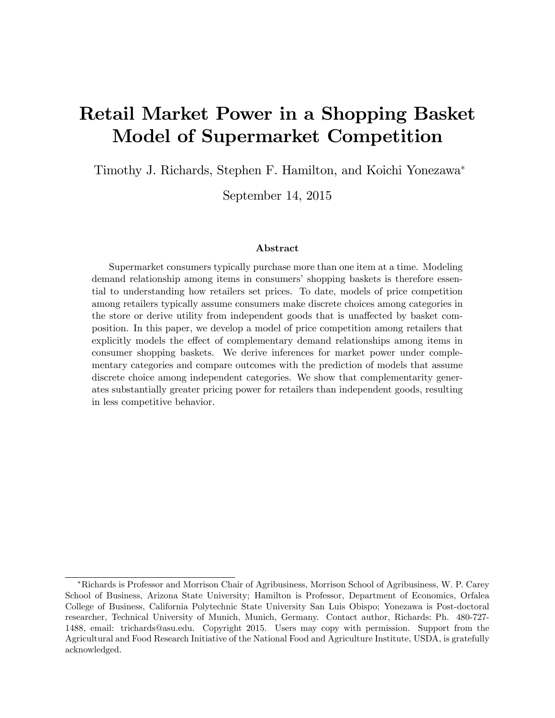# Retail Market Power in a Shopping Basket Model of Supermarket Competition

Timothy J. Richards, Stephen F. Hamilton, and Koichi Yonezawa

September 14, 2015

### Abstract

Supermarket consumers typically purchase more than one item at a time. Modeling demand relationship among items in consumers' shopping baskets is therefore essential to understanding how retailers set prices. To date, models of price competition among retailers typically assume consumers make discrete choices among categories in the store or derive utility from independent goods that is unaffected by basket composition. In this paper, we develop a model of price competition among retailers that explicitly models the effect of complementary demand relationships among items in consumer shopping baskets. We derive inferences for market power under complementary categories and compare outcomes with the prediction of models that assume discrete choice among independent categories. We show that complementarity generates substantially greater pricing power for retailers than independent goods, resulting in less competitive behavior.

Richards is Professor and Morrison Chair of Agribusiness, Morrison School of Agribusiness, W. P. Carey School of Business, Arizona State University; Hamilton is Professor, Department of Economics, Orfalea College of Business, California Polytechnic State University San Luis Obispo; Yonezawa is Post-doctoral researcher, Technical University of Munich, Munich, Germany. Contact author, Richards: Ph. 480-727- 1488, email: trichards@asu.edu. Copyright 2015. Users may copy with permission. Support from the Agricultural and Food Research Initiative of the National Food and Agriculture Institute, USDA, is gratefully acknowledged.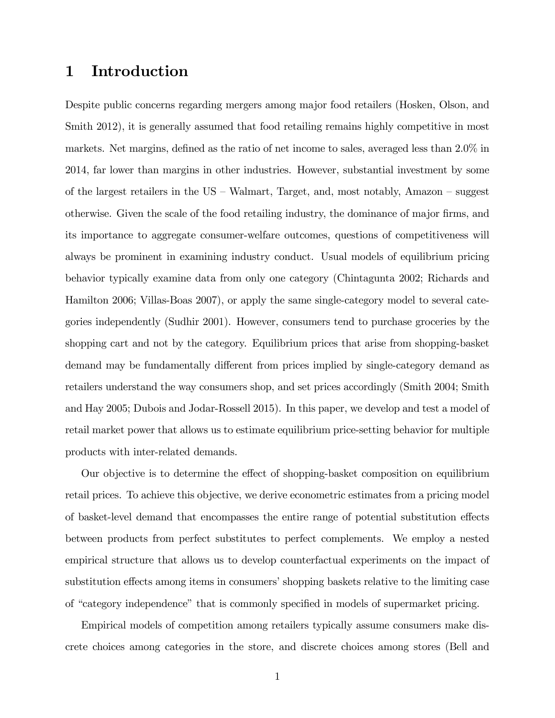### 1 Introduction

Despite public concerns regarding mergers among major food retailers (Hosken, Olson, and Smith 2012), it is generally assumed that food retailing remains highly competitive in most markets. Net margins, defined as the ratio of net income to sales, averaged less than  $2.0\%$  in 2014, far lower than margins in other industries. However, substantial investment by some of the largest retailers in the  $US - Walmart$ , Target, and, most notably, Amazon  $-$  suggest otherwise. Given the scale of the food retailing industry, the dominance of major Örms, and its importance to aggregate consumer-welfare outcomes, questions of competitiveness will always be prominent in examining industry conduct. Usual models of equilibrium pricing behavior typically examine data from only one category (Chintagunta 2002; Richards and Hamilton 2006; Villas-Boas 2007), or apply the same single-category model to several categories independently (Sudhir 2001). However, consumers tend to purchase groceries by the shopping cart and not by the category. Equilibrium prices that arise from shopping-basket demand may be fundamentally different from prices implied by single-category demand as retailers understand the way consumers shop, and set prices accordingly (Smith 2004; Smith and Hay 2005; Dubois and Jodar-Rossell 2015). In this paper, we develop and test a model of retail market power that allows us to estimate equilibrium price-setting behavior for multiple products with inter-related demands.

Our objective is to determine the effect of shopping-basket composition on equilibrium retail prices. To achieve this objective, we derive econometric estimates from a pricing model of basket-level demand that encompasses the entire range of potential substitution effects between products from perfect substitutes to perfect complements. We employ a nested empirical structure that allows us to develop counterfactual experiments on the impact of substitution effects among items in consumers' shopping baskets relative to the limiting case of "category independence" that is commonly specified in models of supermarket pricing.

Empirical models of competition among retailers typically assume consumers make discrete choices among categories in the store, and discrete choices among stores (Bell and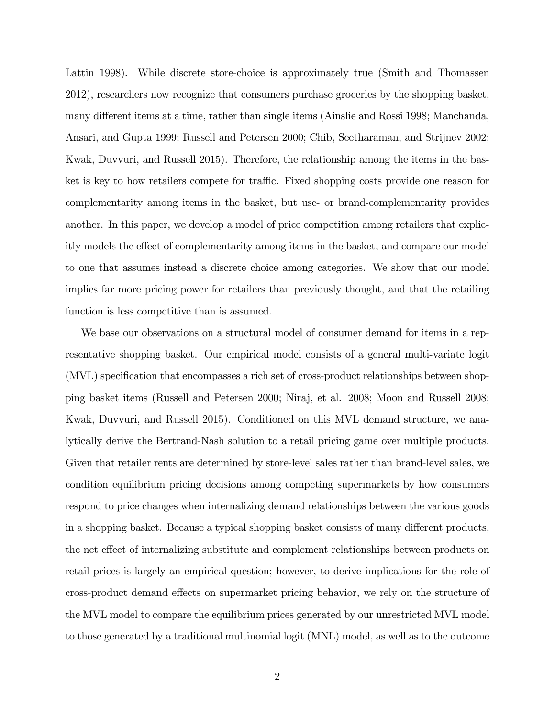Lattin 1998). While discrete store-choice is approximately true (Smith and Thomassen 2012), researchers now recognize that consumers purchase groceries by the shopping basket, many different items at a time, rather than single items (Ainslie and Rossi 1998; Manchanda, Ansari, and Gupta 1999; Russell and Petersen 2000; Chib, Seetharaman, and Strijnev 2002; Kwak, Duvvuri, and Russell 2015). Therefore, the relationship among the items in the basket is key to how retailers compete for traffic. Fixed shopping costs provide one reason for complementarity among items in the basket, but use- or brand-complementarity provides another. In this paper, we develop a model of price competition among retailers that explicitly models the effect of complementarity among items in the basket, and compare our model to one that assumes instead a discrete choice among categories. We show that our model implies far more pricing power for retailers than previously thought, and that the retailing function is less competitive than is assumed.

We base our observations on a structural model of consumer demand for items in a representative shopping basket. Our empirical model consists of a general multi-variate logit (MVL) specification that encompasses a rich set of cross-product relationships between shopping basket items (Russell and Petersen 2000; Niraj, et al. 2008; Moon and Russell 2008; Kwak, Duvvuri, and Russell 2015). Conditioned on this MVL demand structure, we analytically derive the Bertrand-Nash solution to a retail pricing game over multiple products. Given that retailer rents are determined by store-level sales rather than brand-level sales, we condition equilibrium pricing decisions among competing supermarkets by how consumers respond to price changes when internalizing demand relationships between the various goods in a shopping basket. Because a typical shopping basket consists of many different products, the net effect of internalizing substitute and complement relationships between products on retail prices is largely an empirical question; however, to derive implications for the role of cross-product demand effects on supermarket pricing behavior, we rely on the structure of the MVL model to compare the equilibrium prices generated by our unrestricted MVL model to those generated by a traditional multinomial logit (MNL) model, as well as to the outcome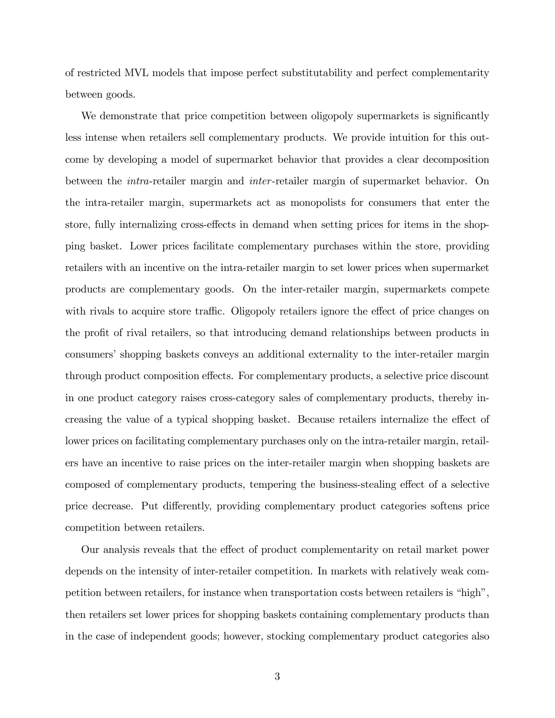of restricted MVL models that impose perfect substitutability and perfect complementarity between goods.

We demonstrate that price competition between oligopoly supermarkets is significantly less intense when retailers sell complementary products. We provide intuition for this outcome by developing a model of supermarket behavior that provides a clear decomposition between the intra-retailer margin and inter-retailer margin of supermarket behavior. On the intra-retailer margin, supermarkets act as monopolists for consumers that enter the store, fully internalizing cross-effects in demand when setting prices for items in the shopping basket. Lower prices facilitate complementary purchases within the store, providing retailers with an incentive on the intra-retailer margin to set lower prices when supermarket products are complementary goods. On the inter-retailer margin, supermarkets compete with rivals to acquire store traffic. Oligopoly retailers ignore the effect of price changes on the profit of rival retailers, so that introducing demand relationships between products in consumers' shopping baskets conveys an additional externality to the inter-retailer margin through product composition effects. For complementary products, a selective price discount in one product category raises cross-category sales of complementary products, thereby increasing the value of a typical shopping basket. Because retailers internalize the effect of lower prices on facilitating complementary purchases only on the intra-retailer margin, retailers have an incentive to raise prices on the inter-retailer margin when shopping baskets are composed of complementary products, tempering the business-stealing effect of a selective price decrease. Put differently, providing complementary product categories softens price competition between retailers.

Our analysis reveals that the effect of product complementarity on retail market power depends on the intensity of inter-retailer competition. In markets with relatively weak competition between retailers, for instance when transportation costs between retailers is "high", then retailers set lower prices for shopping baskets containing complementary products than in the case of independent goods; however, stocking complementary product categories also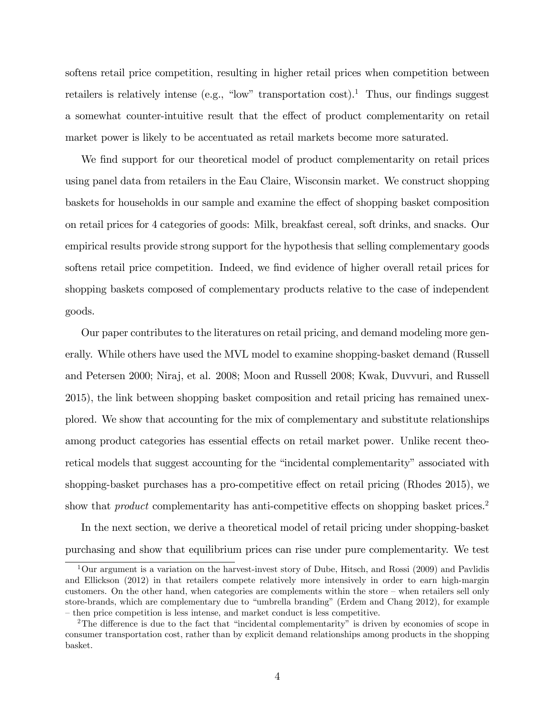softens retail price competition, resulting in higher retail prices when competition between retailers is relatively intense (e.g., "low" transportation cost).<sup>1</sup> Thus, our findings suggest a somewhat counter-intuitive result that the effect of product complementarity on retail market power is likely to be accentuated as retail markets become more saturated.

We find support for our theoretical model of product complementarity on retail prices using panel data from retailers in the Eau Claire, Wisconsin market. We construct shopping baskets for households in our sample and examine the effect of shopping basket composition on retail prices for 4 categories of goods: Milk, breakfast cereal, soft drinks, and snacks. Our empirical results provide strong support for the hypothesis that selling complementary goods softens retail price competition. Indeed, we find evidence of higher overall retail prices for shopping baskets composed of complementary products relative to the case of independent goods.

Our paper contributes to the literatures on retail pricing, and demand modeling more generally. While others have used the MVL model to examine shopping-basket demand (Russell and Petersen 2000; Niraj, et al. 2008; Moon and Russell 2008; Kwak, Duvvuri, and Russell 2015), the link between shopping basket composition and retail pricing has remained unexplored. We show that accounting for the mix of complementary and substitute relationships among product categories has essential effects on retail market power. Unlike recent theoretical models that suggest accounting for the "incidental complementarity" associated with shopping-basket purchases has a pro-competitive effect on retail pricing (Rhodes 2015), we show that  $product$  complementarity has anti-competitive effects on shopping basket prices.<sup>2</sup>

In the next section, we derive a theoretical model of retail pricing under shopping-basket purchasing and show that equilibrium prices can rise under pure complementarity. We test

<sup>1</sup>Our argument is a variation on the harvest-invest story of Dube, Hitsch, and Rossi (2009) and Pavlidis and Ellickson (2012) in that retailers compete relatively more intensively in order to earn high-margin customers. On the other hand, when categories are complements within the store  $-\omega$  when retailers sell only store-brands, which are complementary due to "umbrella branding" (Erdem and Chang 2012), for example – then price competition is less intense, and market conduct is less competitive.

<sup>&</sup>lt;sup>2</sup>The difference is due to the fact that "incidental complementarity" is driven by economies of scope in consumer transportation cost, rather than by explicit demand relationships among products in the shopping basket.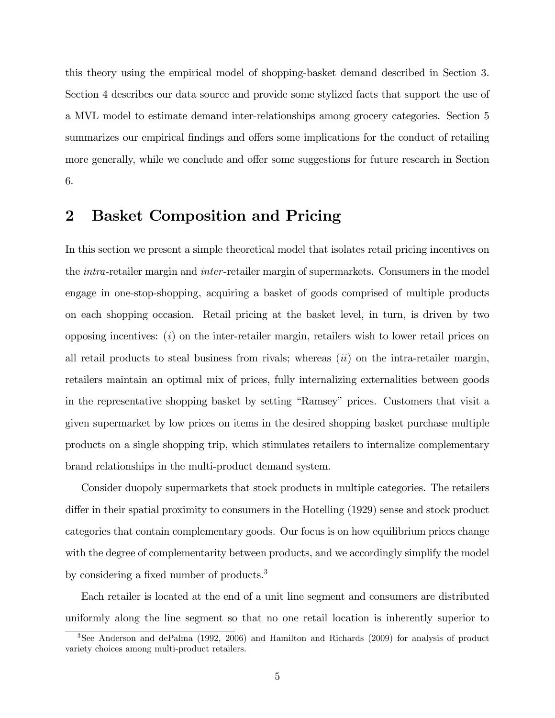this theory using the empirical model of shopping-basket demand described in Section 3. Section 4 describes our data source and provide some stylized facts that support the use of a MVL model to estimate demand inter-relationships among grocery categories. Section 5 summarizes our empirical findings and offers some implications for the conduct of retailing more generally, while we conclude and offer some suggestions for future research in Section 6.

### 2 Basket Composition and Pricing

In this section we present a simple theoretical model that isolates retail pricing incentives on the intra-retailer margin and inter-retailer margin of supermarkets. Consumers in the model engage in one-stop-shopping, acquiring a basket of goods comprised of multiple products on each shopping occasion. Retail pricing at the basket level, in turn, is driven by two opposing incentives:  $(i)$  on the inter-retailer margin, retailers wish to lower retail prices on all retail products to steal business from rivals; whereas  $(ii)$  on the intra-retailer margin, retailers maintain an optimal mix of prices, fully internalizing externalities between goods in the representative shopping basket by setting "Ramsey" prices. Customers that visit a given supermarket by low prices on items in the desired shopping basket purchase multiple products on a single shopping trip, which stimulates retailers to internalize complementary brand relationships in the multi-product demand system.

Consider duopoly supermarkets that stock products in multiple categories. The retailers differ in their spatial proximity to consumers in the Hotelling  $(1929)$  sense and stock product categories that contain complementary goods. Our focus is on how equilibrium prices change with the degree of complementarity between products, and we accordingly simplify the model by considering a fixed number of products.<sup>3</sup>

Each retailer is located at the end of a unit line segment and consumers are distributed uniformly along the line segment so that no one retail location is inherently superior to

<sup>3</sup>See Anderson and dePalma (1992, 2006) and Hamilton and Richards (2009) for analysis of product variety choices among multi-product retailers.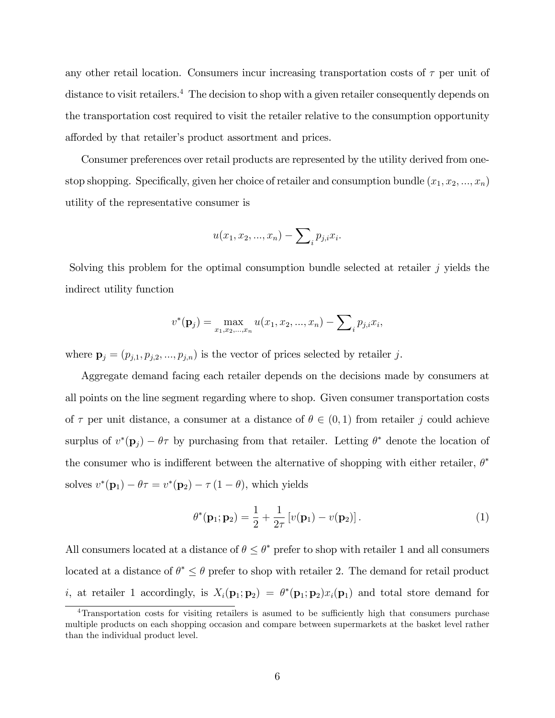any other retail location. Consumers incur increasing transportation costs of  $\tau$  per unit of distance to visit retailers.<sup>4</sup> The decision to shop with a given retailer consequently depends on the transportation cost required to visit the retailer relative to the consumption opportunity afforded by that retailer's product assortment and prices.

Consumer preferences over retail products are represented by the utility derived from onestop shopping. Specifically, given her choice of retailer and consumption bundle  $(x_1, x_2, ..., x_n)$ utility of the representative consumer is

$$
u(x_1, x_2, ..., x_n) - \sum_{i} p_{j,i} x_i.
$$

Solving this problem for the optimal consumption bundle selected at retailer j yields the indirect utility function

$$
v^*(\mathbf{p}_j) = \max_{x_1, x_2, \dots, x_n} u(x_1, x_2, \dots, x_n) - \sum_i p_{j,i} x_i,
$$

where  $\mathbf{p}_j = (p_{j,1}, p_{j,2}, ..., p_{j,n})$  is the vector of prices selected by retailer j.

Aggregate demand facing each retailer depends on the decisions made by consumers at all points on the line segment regarding where to shop. Given consumer transportation costs of  $\tau$  per unit distance, a consumer at a distance of  $\theta \in (0,1)$  from retailer j could achieve surplus of  $v^*(\mathbf{p}_j) - \theta\tau$  by purchasing from that retailer. Letting  $\theta^*$  denote the location of the consumer who is indifferent between the alternative of shopping with either retailer,  $\theta^*$ solves  $v^*(\mathbf{p}_1) - \theta \tau = v^*(\mathbf{p}_2) - \tau (1 - \theta)$ , which yields

$$
\theta^*(\mathbf{p}_1; \mathbf{p}_2) = \frac{1}{2} + \frac{1}{2\tau} \left[ v(\mathbf{p}_1) - v(\mathbf{p}_2) \right]. \tag{1}
$$

All consumers located at a distance of  $\theta \leq \theta^*$  prefer to shop with retailer 1 and all consumers located at a distance of  $\theta^* \leq \theta$  prefer to shop with retailer 2. The demand for retail product *i*, at retailer 1 accordingly, is  $X_i(\mathbf{p}_1; \mathbf{p}_2) = \theta^*(\mathbf{p}_1; \mathbf{p}_2) x_i(\mathbf{p}_1)$  and total store demand for

<sup>&</sup>lt;sup>4</sup>Transportation costs for visiting retailers is asumed to be sufficiently high that consumers purchase multiple products on each shopping occasion and compare between supermarkets at the basket level rather than the individual product level.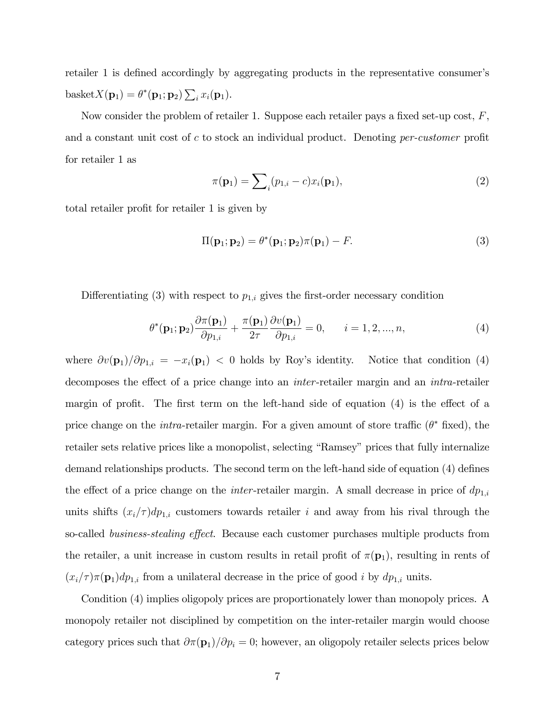retailer 1 is defined accordingly by aggregating products in the representative consumer's basket $X(\mathbf{p}_1) = \theta^*(\mathbf{p}_1; \mathbf{p}_2) \sum_i x_i(\mathbf{p}_1).$ 

Now consider the problem of retailer 1. Suppose each retailer pays a fixed set-up cost,  $F$ , and a constant unit cost of c to stock an individual product. Denoting  $per-cutomer$  profit for retailer 1 as

$$
\pi(\mathbf{p}_1) = \sum_{i} (p_{1,i} - c)x_i(\mathbf{p}_1),\tag{2}
$$

total retailer profit for retailer 1 is given by

$$
\Pi(\mathbf{p}_1; \mathbf{p}_2) = \theta^*(\mathbf{p}_1; \mathbf{p}_2) \pi(\mathbf{p}_1) - F.
$$
\n(3)

Differentiating (3) with respect to  $p_{1,i}$  gives the first-order necessary condition

$$
\theta^*(\mathbf{p}_1; \mathbf{p}_2) \frac{\partial \pi(\mathbf{p}_1)}{\partial p_{1,i}} + \frac{\pi(\mathbf{p}_1)}{2\tau} \frac{\partial v(\mathbf{p}_1)}{\partial p_{1,i}} = 0, \qquad i = 1, 2, ..., n,
$$
\n(4)

where  $\partial v(\mathbf{p}_1)/\partial p_{1,i} = -x_i(\mathbf{p}_1) < 0$  holds by Roy's identity. Notice that condition (4) decomposes the effect of a price change into an *inter*-retailer margin and an *intra*-retailer margin of profit. The first term on the left-hand side of equation  $(4)$  is the effect of a price change on the *intra*-retailer margin. For a given amount of store traffic  $(\theta^*$  fixed), the retailer sets relative prices like a monopolist, selecting "Ramsey" prices that fully internalize demand relationships products. The second term on the left-hand side of equation  $(4)$  defines the effect of a price change on the *inter*-retailer margin. A small decrease in price of  $dp_{1,i}$ units shifts  $(x_i/\tau)dp_{1,i}$  customers towards retailer i and away from his rival through the so-called *business-stealing effect*. Because each customer purchases multiple products from the retailer, a unit increase in custom results in retail profit of  $\pi(\mathbf{p}_1)$ , resulting in rents of  $(x_i/\tau)\pi(\mathbf{p}_1)dp_{1,i}$  from a unilateral decrease in the price of good i by  $dp_{1,i}$  units.

Condition (4) implies oligopoly prices are proportionately lower than monopoly prices. A monopoly retailer not disciplined by competition on the inter-retailer margin would choose category prices such that  $\partial \pi(\mathbf{p}_1)/\partial p_i = 0$ ; however, an oligopoly retailer selects prices below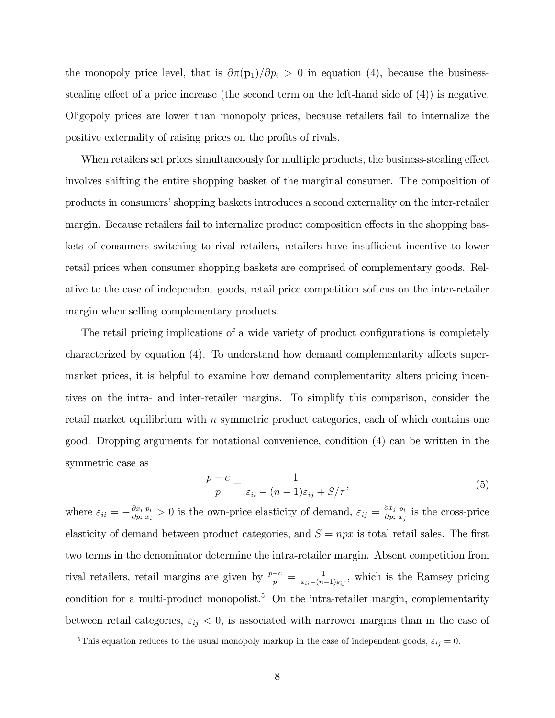the monopoly price level, that is  $\partial \pi(\mathbf{p}_1)/\partial p_i > 0$  in equation (4), because the businessstealing effect of a price increase (the second term on the left-hand side of  $(4)$ ) is negative. Oligopoly prices are lower than monopoly prices, because retailers fail to internalize the positive externality of raising prices on the profits of rivals.

When retailers set prices simultaneously for multiple products, the business-stealing effect involves shifting the entire shopping basket of the marginal consumer. The composition of products in consumersíshopping baskets introduces a second externality on the inter-retailer margin. Because retailers fail to internalize product composition effects in the shopping baskets of consumers switching to rival retailers, retailers have insufficient incentive to lower retail prices when consumer shopping baskets are comprised of complementary goods. Relative to the case of independent goods, retail price competition softens on the inter-retailer margin when selling complementary products.

The retail pricing implications of a wide variety of product configurations is completely characterized by equation  $(4)$ . To understand how demand complementarity affects supermarket prices, it is helpful to examine how demand complementarity alters pricing incentives on the intra- and inter-retailer margins. To simplify this comparison, consider the retail market equilibrium with n symmetric product categories, each of which contains one good. Dropping arguments for notational convenience, condition (4) can be written in the symmetric case as

$$
\frac{p-c}{p} = \frac{1}{\varepsilon_{ii} - (n-1)\varepsilon_{ij} + S/\tau},\tag{5}
$$

where  $\varepsilon_{ii} = -\frac{\partial x_i}{\partial p_i}$  $\partial p_i$  $p_i$  $\frac{p_i}{x_i} > 0$  is the own-price elasticity of demand,  $\varepsilon_{ij} = \frac{\partial x_j}{\partial p_i}$  $\partial p_i$  $p_i$  $\frac{p_i}{x_j}$  is the cross-price elasticity of demand between product categories, and  $S = npx$  is total retail sales. The first two terms in the denominator determine the intra-retailer margin. Absent competition from rival retailers, retail margins are given by  $\frac{p-c}{p} = \frac{1}{\varepsilon_{ii}-(n-a)}$  $\frac{1}{\epsilon_{ii}-(n-1)\epsilon_{ij}},$  which is the Ramsey pricing condition for a multi-product monopolist.<sup>5</sup> On the intra-retailer margin, complementarity between retail categories,  $\varepsilon_{ij}$  < 0, is associated with narrower margins than in the case of

<sup>&</sup>lt;sup>5</sup>This equation reduces to the usual monopoly markup in the case of independent goods,  $\varepsilon_{ij} = 0$ .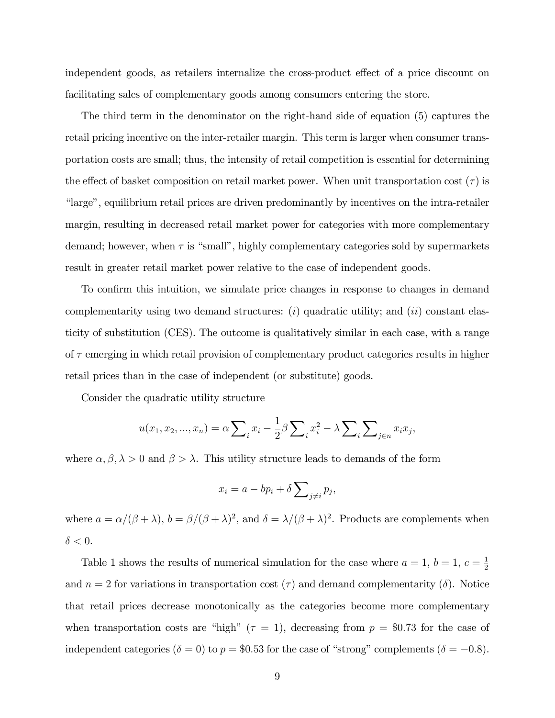independent goods, as retailers internalize the cross-product effect of a price discount on facilitating sales of complementary goods among consumers entering the store.

The third term in the denominator on the right-hand side of equation (5) captures the retail pricing incentive on the inter-retailer margin. This term is larger when consumer transportation costs are small; thus, the intensity of retail competition is essential for determining the effect of basket composition on retail market power. When unit transportation cost  $(\tau)$  is ìlargeî, equilibrium retail prices are driven predominantly by incentives on the intra-retailer margin, resulting in decreased retail market power for categories with more complementary demand; however, when  $\tau$  is "small", highly complementary categories sold by supermarkets result in greater retail market power relative to the case of independent goods.

To confirm this intuition, we simulate price changes in response to changes in demand complementarity using two demand structures:  $(i)$  quadratic utility; and  $(ii)$  constant elasticity of substitution (CES). The outcome is qualitatively similar in each case, with a range of  $\tau$  emerging in which retail provision of complementary product categories results in higher retail prices than in the case of independent (or substitute) goods.

Consider the quadratic utility structure

$$
u(x_1, x_2, ..., x_n) = \alpha \sum_i x_i - \frac{1}{2} \beta \sum_i x_i^2 - \lambda \sum_i \sum_{j \in n} x_i x_j,
$$

where  $\alpha, \beta, \lambda > 0$  and  $\beta > \lambda$ . This utility structure leads to demands of the form

$$
x_i = a - bp_i + \delta \sum_{j \neq i} p_j
$$

;

where  $a = \alpha/(\beta + \lambda)$ ,  $b = \beta/(\beta + \lambda)^2$ , and  $\delta = \lambda/(\beta + \lambda)^2$ . Products are complements when  $\delta < 0$ .

Table 1 shows the results of numerical simulation for the case where  $a = 1, b = 1, c = \frac{1}{2}$ 2 and  $n = 2$  for variations in transportation cost ( $\tau$ ) and demand complementarity ( $\delta$ ). Notice that retail prices decrease monotonically as the categories become more complementary when transportation costs are "high" ( $\tau = 1$ ), decreasing from  $p = $0.73$  for the case of independent categories ( $\delta = 0$ ) to  $p = $0.53$  for the case of "strong" complements ( $\delta = -0.8$ ).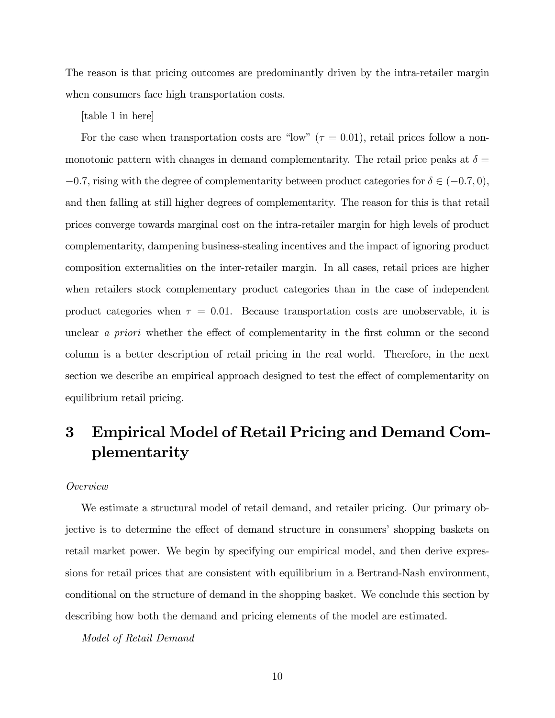The reason is that pricing outcomes are predominantly driven by the intra-retailer margin when consumers face high transportation costs.

[table 1 in here]

For the case when transportation costs are "low" ( $\tau = 0.01$ ), retail prices follow a nonmonotonic pattern with changes in demand complementarity. The retail price peaks at  $\delta =$  $-0.7$ , rising with the degree of complementarity between product categories for  $\delta \in (-0.7, 0)$ , and then falling at still higher degrees of complementarity. The reason for this is that retail prices converge towards marginal cost on the intra-retailer margin for high levels of product complementarity, dampening business-stealing incentives and the impact of ignoring product composition externalities on the inter-retailer margin. In all cases, retail prices are higher when retailers stock complementary product categories than in the case of independent product categories when  $\tau = 0.01$ . Because transportation costs are unobservable, it is unclear a priori whether the effect of complementarity in the first column or the second column is a better description of retail pricing in the real world. Therefore, in the next section we describe an empirical approach designed to test the effect of complementarity on equilibrium retail pricing.

# 3 Empirical Model of Retail Pricing and Demand Complementarity

### Overview

We estimate a structural model of retail demand, and retailer pricing. Our primary objective is to determine the effect of demand structure in consumers' shopping baskets on retail market power. We begin by specifying our empirical model, and then derive expressions for retail prices that are consistent with equilibrium in a Bertrand-Nash environment, conditional on the structure of demand in the shopping basket. We conclude this section by describing how both the demand and pricing elements of the model are estimated.

Model of Retail Demand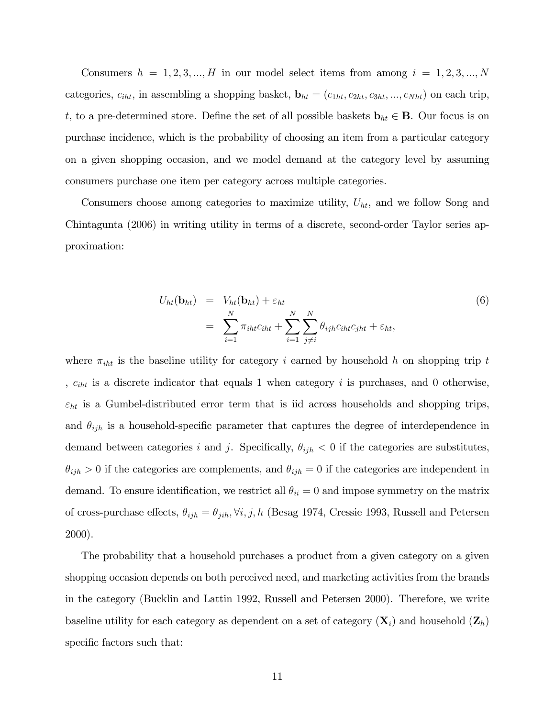Consumers  $h = 1, 2, 3, ..., H$  in our model select items from among  $i = 1, 2, 3, ..., N$ categories,  $c_{iht}$ , in assembling a shopping basket,  $\mathbf{b}_{ht} = (c_{1ht}, c_{2ht}, c_{3ht}, ..., c_{Nht})$  on each trip, t, to a pre-determined store. Define the set of all possible baskets  $\mathbf{b}_{ht} \in \mathbf{B}$ . Our focus is on purchase incidence, which is the probability of choosing an item from a particular category on a given shopping occasion, and we model demand at the category level by assuming consumers purchase one item per category across multiple categories.

Consumers choose among categories to maximize utility,  $U_{ht}$ , and we follow Song and Chintagunta (2006) in writing utility in terms of a discrete, second-order Taylor series approximation:

$$
U_{ht}(\mathbf{b}_{ht}) = V_{ht}(\mathbf{b}_{ht}) + \varepsilon_{ht}
$$
  
= 
$$
\sum_{i=1}^{N} \pi_{iht} c_{iht} + \sum_{i=1}^{N} \sum_{j \neq i}^{N} \theta_{ijh} c_{iht} c_{jht} + \varepsilon_{ht},
$$
 (6)

where  $\pi_{iht}$  is the baseline utility for category i earned by household h on shopping trip t ,  $c_{iht}$  is a discrete indicator that equals 1 when category  $i$  is purchases, and 0 otherwise,  $\varepsilon_{ht}$  is a Gumbel-distributed error term that is iid across households and shopping trips, and  $\theta_{ijh}$  is a household-specific parameter that captures the degree of interdependence in demand between categories i and j. Specifically,  $\theta_{ijh} < 0$  if the categories are substitutes,  $\theta_{ijh} > 0$  if the categories are complements, and  $\theta_{ijh} = 0$  if the categories are independent in demand. To ensure identification, we restrict all  $\theta_{ii} = 0$  and impose symmetry on the matrix of cross-purchase effects,  $\theta_{ijh} = \theta_{jih}$ ,  $\forall i, j, h$  (Besag 1974, Cressie 1993, Russell and Petersen 2000).

The probability that a household purchases a product from a given category on a given shopping occasion depends on both perceived need, and marketing activities from the brands in the category (Bucklin and Lattin 1992, Russell and Petersen 2000). Therefore, we write baseline utility for each category as dependent on a set of category  $(X_i)$  and household  $(Z_h)$ specific factors such that: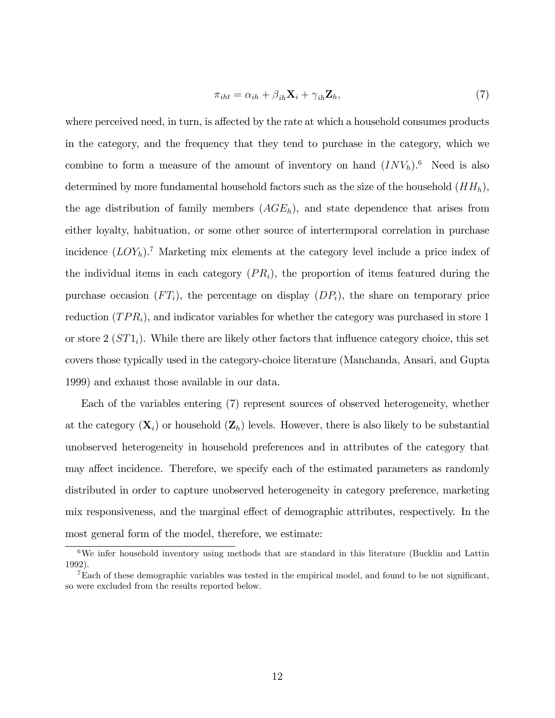$$
\pi_{iht} = \alpha_{ih} + \beta_{ih} \mathbf{X}_i + \gamma_{ih} \mathbf{Z}_h, \tag{7}
$$

where perceived need, in turn, is affected by the rate at which a household consumes products in the category, and the frequency that they tend to purchase in the category, which we combine to form a measure of the amount of inventory on hand  $(INV<sub>h</sub>)$ .<sup>6</sup> Need is also determined by more fundamental household factors such as the size of the household  $(HH_h)$ , the age distribution of family members  $(AGE<sub>h</sub>)$ , and state dependence that arises from either loyalty, habituation, or some other source of intertermporal correlation in purchase incidence  $(LOY_h)$ .<sup>7</sup> Marketing mix elements at the category level include a price index of the individual items in each category  $(PR_i)$ , the proportion of items featured during the purchase occasion  $(FT_i)$ , the percentage on display  $(DP_i)$ , the share on temporary price reduction  $(TPR_i)$ , and indicator variables for whether the category was purchased in store 1 or store  $2 (ST1<sub>i</sub>)$ . While there are likely other factors that influence category choice, this set covers those typically used in the category-choice literature (Manchanda, Ansari, and Gupta 1999) and exhaust those available in our data.

Each of the variables entering (7) represent sources of observed heterogeneity, whether at the category  $(X_i)$  or household  $(Z_h)$  levels. However, there is also likely to be substantial unobserved heterogeneity in household preferences and in attributes of the category that may affect incidence. Therefore, we specify each of the estimated parameters as randomly distributed in order to capture unobserved heterogeneity in category preference, marketing mix responsiveness, and the marginal effect of demographic attributes, respectively. In the most general form of the model, therefore, we estimate:

<sup>&</sup>lt;sup>6</sup>We infer household inventory using methods that are standard in this literature (Bucklin and Lattin 1992).

<sup>&</sup>lt;sup>7</sup>Each of these demographic variables was tested in the empirical model, and found to be not significant, so were excluded from the results reported below.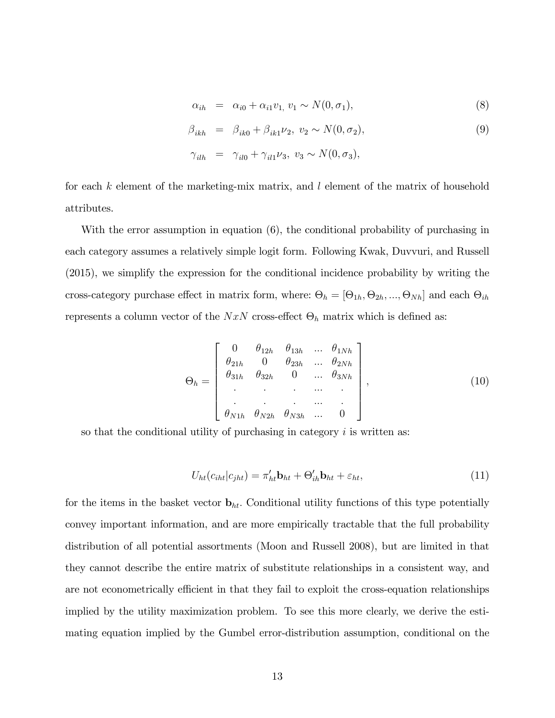$$
\alpha_{ih} = \alpha_{i0} + \alpha_{i1}v_1, v_1 \sim N(0, \sigma_1), \qquad (8)
$$

$$
\beta_{ikh} = \beta_{ik0} + \beta_{ik1} \nu_2, \ v_2 \sim N(0, \sigma_2), \tag{9}
$$

$$
\gamma_{ilh} = \gamma_{il0} + \gamma_{il1} \nu_3, \ v_3 \sim N(0, \sigma_3),
$$

for each k element of the marketing-mix matrix, and  $l$  element of the matrix of household attributes.

With the error assumption in equation (6), the conditional probability of purchasing in each category assumes a relatively simple logit form. Following Kwak, Duvvuri, and Russell (2015), we simplify the expression for the conditional incidence probability by writing the cross-category purchase effect in matrix form, where:  $\Theta_h = [\Theta_{1h}, \Theta_{2h}, ..., \Theta_{Nh}]$  and each  $\Theta_{ih}$ represents a column vector of the  $NxN$  cross-effect  $\Theta_h$  matrix which is defined as:

$$
\Theta_{h} = \begin{bmatrix} 0 & \theta_{12h} & \theta_{13h} & \dots & \theta_{1Nh} \\ \theta_{21h} & 0 & \theta_{23h} & \dots & \theta_{2Nh} \\ \theta_{31h} & \theta_{32h} & 0 & \dots & \theta_{3Nh} \\ \vdots & \vdots & \vdots & \vdots & \vdots \\ \theta_{N1h} & \theta_{N2h} & \theta_{N3h} & \dots & 0 \end{bmatrix},
$$
(10)

so that the conditional utility of purchasing in category  $i$  is written as:

$$
U_{ht}(c_{iht}|c_{jht}) = \pi'_{ht}\mathbf{b}_{ht} + \Theta'_{ih}\mathbf{b}_{ht} + \varepsilon_{ht},
$$
\n(11)

for the items in the basket vector  $\mathbf{b}_{ht}$ . Conditional utility functions of this type potentially convey important information, and are more empirically tractable that the full probability distribution of all potential assortments (Moon and Russell 2008), but are limited in that they cannot describe the entire matrix of substitute relationships in a consistent way, and are not econometrically efficient in that they fail to exploit the cross-equation relationships implied by the utility maximization problem. To see this more clearly, we derive the estimating equation implied by the Gumbel error-distribution assumption, conditional on the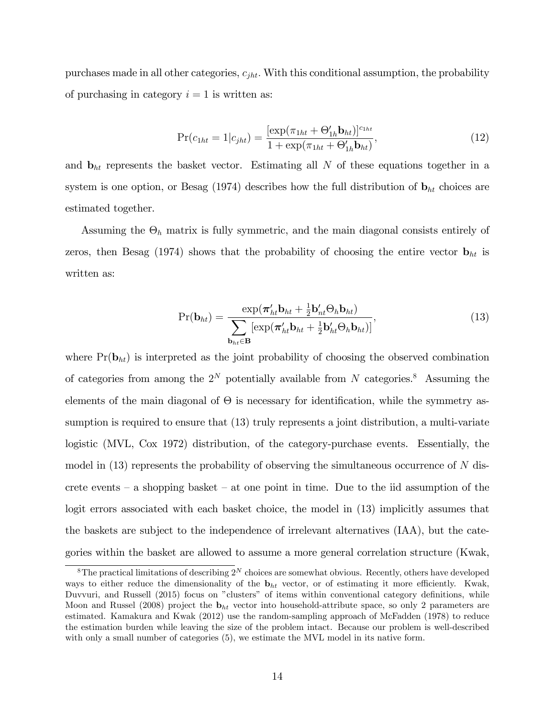purchases made in all other categories,  $c_{iht}$ . With this conditional assumption, the probability of purchasing in category  $i = 1$  is written as:

$$
Pr(c_{1ht} = 1|c_{jht}) = \frac{[\exp(\pi_{1ht} + \Theta'_{1h} \mathbf{b}_{ht})]^{c_{1ht}}}{1 + \exp(\pi_{1ht} + \Theta'_{1h} \mathbf{b}_{ht})},
$$
(12)

and  **represents the basket vector. Estimating all N of these equations together in a** system is one option, or Besag (1974) describes how the full distribution of  $\mathbf{b}_{ht}$  choices are estimated together.

Assuming the  $\Theta_h$  matrix is fully symmetric, and the main diagonal consists entirely of zeros, then Besag (1974) shows that the probability of choosing the entire vector  $\mathbf{b}_{ht}$  is written as:

$$
Pr(\mathbf{b}_{ht}) = \frac{\exp(\boldsymbol{\pi}_{ht}^{\prime}\mathbf{b}_{ht} + \frac{1}{2}\mathbf{b}_{nt}^{\prime}\Theta_{h}\mathbf{b}_{ht})}{\sum_{\mathbf{b}_{ht}\in\mathbf{B}}[\exp(\boldsymbol{\pi}_{ht}^{\prime}\mathbf{b}_{ht} + \frac{1}{2}\mathbf{b}_{ht}^{\prime}\Theta_{h}\mathbf{b}_{ht})]},
$$
(13)

where  $Pr(\mathbf{b}_{ht})$  is interpreted as the joint probability of choosing the observed combination of categories from among the  $2^N$  potentially available from N categories.<sup>8</sup> Assuming the elements of the main diagonal of  $\Theta$  is necessary for identification, while the symmetry assumption is required to ensure that (13) truly represents a joint distribution, a multi-variate logistic (MVL, Cox 1972) distribution, of the category-purchase events. Essentially, the model in  $(13)$  represents the probability of observing the simultaneous occurrence of N discrete events  $-$  a shopping basket  $-$  at one point in time. Due to the iid assumption of the logit errors associated with each basket choice, the model in (13) implicitly assumes that the baskets are subject to the independence of irrelevant alternatives (IAA), but the categories within the basket are allowed to assume a more general correlation structure (Kwak,

<sup>&</sup>lt;sup>8</sup>The practical limitations of describing  $2^N$  choices are somewhat obvious. Recently, others have developed ways to either reduce the dimensionality of the  $\mathbf{b}_{ht}$  vector, or of estimating it more efficiently. Kwak, Duvvuri, and Russell (2015) focus on "clusters" of items within conventional category definitions, while Moon and Russel (2008) project the  $\mathbf{b}_{ht}$  vector into household-attribute space, so only 2 parameters are estimated. Kamakura and Kwak (2012) use the random-sampling approach of McFadden (1978) to reduce the estimation burden while leaving the size of the problem intact. Because our problem is well-described with only a small number of categories  $(5)$ , we estimate the MVL model in its native form.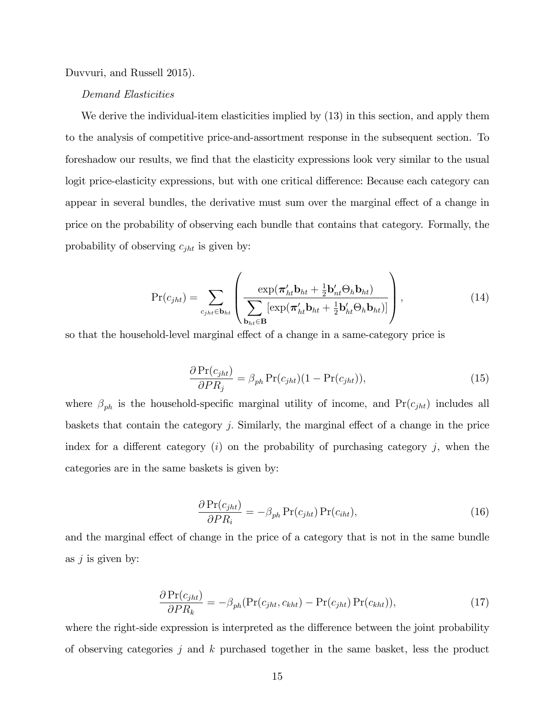Duvvuri, and Russell 2015).

### Demand Elasticities

We derive the individual-item elasticities implied by (13) in this section, and apply them to the analysis of competitive price-and-assortment response in the subsequent section. To foreshadow our results, we find that the elasticity expressions look very similar to the usual logit price-elasticity expressions, but with one critical difference: Because each category can appear in several bundles, the derivative must sum over the marginal effect of a change in price on the probability of observing each bundle that contains that category. Formally, the probability of observing  $c_{jht}$  is given by:

$$
Pr(c_{jht}) = \sum_{c_{jht} \in \mathbf{b}_{ht}} \left( \frac{\exp(\boldsymbol{\pi}_{ht}^{\prime} \mathbf{b}_{ht} + \frac{1}{2} \mathbf{b}_{nt}^{\prime} \Theta_{h} \mathbf{b}_{ht})}{\sum_{\mathbf{b}_{ht} \in \mathbf{B}} [\exp(\boldsymbol{\pi}_{ht}^{\prime} \mathbf{b}_{ht} + \frac{1}{2} \mathbf{b}_{ht}^{\prime} \Theta_{h} \mathbf{b}_{ht})]} \right), \qquad (14)
$$

so that the household-level marginal effect of a change in a same-category price is

$$
\frac{\partial \Pr(c_{jht})}{\partial PR_j} = \beta_{ph} \Pr(c_{jht})(1 - \Pr(c_{jht})),\tag{15}
$$

where  $\beta_{ph}$  is the household-specific marginal utility of income, and  $Pr(c_{jht})$  includes all baskets that contain the category j. Similarly, the marginal effect of a change in the price index for a different category  $(i)$  on the probability of purchasing category  $j$ , when the categories are in the same baskets is given by:

$$
\frac{\partial \Pr(c_{jht})}{\partial PR_i} = -\beta_{ph} \Pr(c_{jht}) \Pr(c_{iht}), \qquad (16)
$$

and the marginal effect of change in the price of a category that is not in the same bundle as  $j$  is given by:

$$
\frac{\partial \Pr(c_{jht})}{\partial PR_k} = -\beta_{ph} (\Pr(c_{jht}, c_{kht}) - \Pr(c_{jht}) \Pr(c_{kht})), \qquad (17)
$$

where the right-side expression is interpreted as the difference between the joint probability of observing categories j and  $k$  purchased together in the same basket, less the product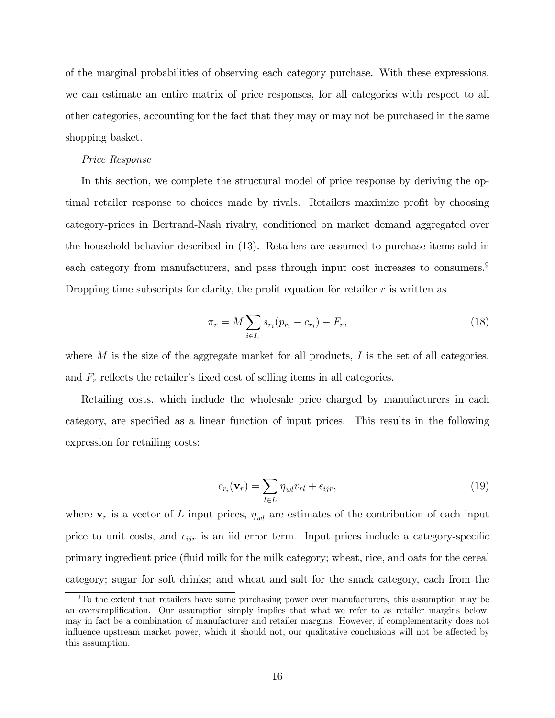of the marginal probabilities of observing each category purchase. With these expressions, we can estimate an entire matrix of price responses, for all categories with respect to all other categories, accounting for the fact that they may or may not be purchased in the same shopping basket.

### Price Response

In this section, we complete the structural model of price response by deriving the optimal retailer response to choices made by rivals. Retailers maximize profit by choosing category-prices in Bertrand-Nash rivalry, conditioned on market demand aggregated over the household behavior described in (13). Retailers are assumed to purchase items sold in each category from manufacturers, and pass through input cost increases to consumers.<sup>9</sup> Dropping time subscripts for clarity, the profit equation for retailer  $r$  is written as

$$
\pi_r = M \sum_{i \in I_r} s_{r_i} (p_{r_i} - c_{r_i}) - F_r,
$$
\n(18)

where  $M$  is the size of the aggregate market for all products,  $I$  is the set of all categories, and  $F_r$  reflects the retailer's fixed cost of selling items in all categories.

Retailing costs, which include the wholesale price charged by manufacturers in each category, are specified as a linear function of input prices. This results in the following expression for retailing costs:

$$
c_{r_i}(\mathbf{v}_r) = \sum_{l \in L} \eta_{wl} v_{rl} + \epsilon_{ijr}, \qquad (19)
$$

where  $v_r$  is a vector of L input prices,  $\eta_{wl}$  are estimates of the contribution of each input price to unit costs, and  $\epsilon_{ijr}$  is an iid error term. Input prices include a category-specific primary ingredient price (áuid milk for the milk category; wheat, rice, and oats for the cereal category; sugar for soft drinks; and wheat and salt for the snack category, each from the

<sup>&</sup>lt;sup>9</sup>To the extent that retailers have some purchasing power over manufacturers, this assumption may be an oversimplification. Our assumption simply implies that what we refer to as retailer margins below, may in fact be a combination of manufacturer and retailer margins. However, if complementarity does not influence upstream market power, which it should not, our qualitative conclusions will not be affected by this assumption.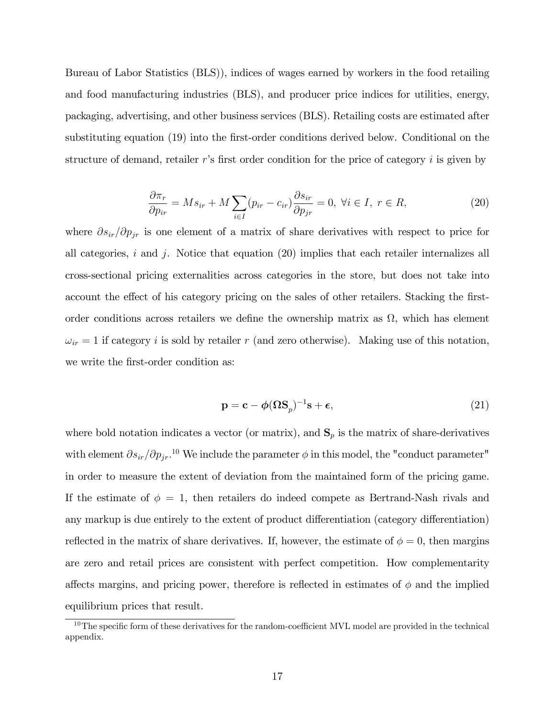Bureau of Labor Statistics (BLS)), indices of wages earned by workers in the food retailing and food manufacturing industries (BLS), and producer price indices for utilities, energy, packaging, advertising, and other business services (BLS). Retailing costs are estimated after substituting equation (19) into the first-order conditions derived below. Conditional on the structure of demand, retailer  $r$ 's first order condition for the price of category i is given by

$$
\frac{\partial \pi_r}{\partial p_{ir}} = M s_{ir} + M \sum_{i \in I} (p_{ir} - c_{ir}) \frac{\partial s_{ir}}{\partial p_{jr}} = 0, \ \forall i \in I, \ r \in R,
$$
\n(20)

where  $\partial s_{ir}/\partial p_{jr}$  is one element of a matrix of share derivatives with respect to price for all categories,  $i$  and  $j$ . Notice that equation  $(20)$  implies that each retailer internalizes all cross-sectional pricing externalities across categories in the store, but does not take into account the effect of his category pricing on the sales of other retailers. Stacking the firstorder conditions across retailers we define the ownership matrix as  $\Omega$ , which has element  $\omega_{ir} = 1$  if category i is sold by retailer r (and zero otherwise). Making use of this notation, we write the first-order condition as:

$$
\mathbf{p} = \mathbf{c} - \phi(\Omega \mathbf{S}_p)^{-1} \mathbf{s} + \boldsymbol{\epsilon},\tag{21}
$$

where bold notation indicates a vector (or matrix), and  $S_p$  is the matrix of share-derivatives with element  $\partial s_{ir}/\partial p_{jr}.$ <sup>10</sup> We include the parameter  $\phi$  in this model, the "conduct parameter" in order to measure the extent of deviation from the maintained form of the pricing game. If the estimate of  $\phi = 1$ , then retailers do indeed compete as Bertrand-Nash rivals and any markup is due entirely to the extent of product differentiation (category differentiation) reflected in the matrix of share derivatives. If, however, the estimate of  $\phi = 0$ , then margins are zero and retail prices are consistent with perfect competition. How complementarity affects margins, and pricing power, therefore is reflected in estimates of  $\phi$  and the implied equilibrium prices that result.

 $10$ The specific form of these derivatives for the random-coefficient MVL model are provided in the technical appendix.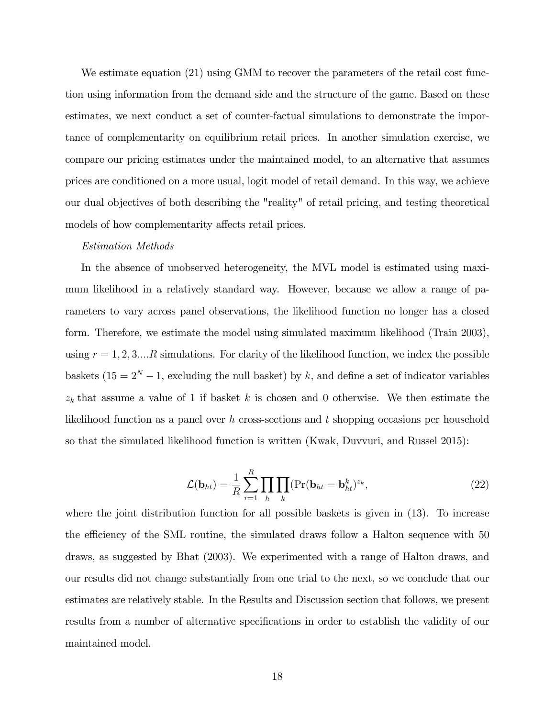We estimate equation (21) using GMM to recover the parameters of the retail cost function using information from the demand side and the structure of the game. Based on these estimates, we next conduct a set of counter-factual simulations to demonstrate the importance of complementarity on equilibrium retail prices. In another simulation exercise, we compare our pricing estimates under the maintained model, to an alternative that assumes prices are conditioned on a more usual, logit model of retail demand. In this way, we achieve our dual objectives of both describing the "reality" of retail pricing, and testing theoretical models of how complementarity affects retail prices.

### Estimation Methods

In the absence of unobserved heterogeneity, the MVL model is estimated using maximum likelihood in a relatively standard way. However, because we allow a range of parameters to vary across panel observations, the likelihood function no longer has a closed form. Therefore, we estimate the model using simulated maximum likelihood (Train 2003), using  $r = 1, 2, 3...R$  simulations. For clarity of the likelihood function, we index the possible baskets (15 =  $2^N - 1$ , excluding the null basket) by k, and define a set of indicator variables  $z_k$  that assume a value of 1 if basket k is chosen and 0 otherwise. We then estimate the likelihood function as a panel over h cross-sections and t shopping occasions per household so that the simulated likelihood function is written (Kwak, Duvvuri, and Russel 2015):

$$
\mathcal{L}(\mathbf{b}_{ht}) = \frac{1}{R} \sum_{r=1}^{R} \prod_{h} \prod_{k} (\Pr(\mathbf{b}_{ht} = \mathbf{b}_{ht}^{k})^{z_{k}}, \qquad (22)
$$

where the joint distribution function for all possible baskets is given in (13). To increase the efficiency of the SML routine, the simulated draws follow a Halton sequence with 50 draws, as suggested by Bhat (2003). We experimented with a range of Halton draws, and our results did not change substantially from one trial to the next, so we conclude that our estimates are relatively stable. In the Results and Discussion section that follows, we present results from a number of alternative specifications in order to establish the validity of our maintained model.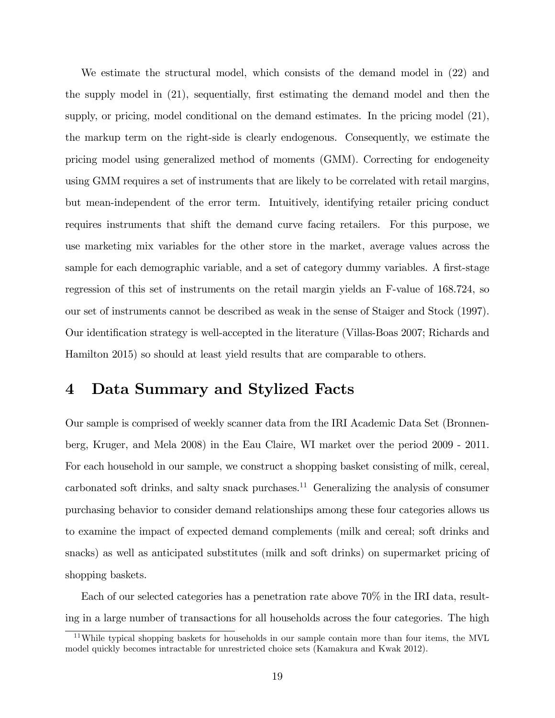We estimate the structural model, which consists of the demand model in (22) and the supply model in  $(21)$ , sequentially, first estimating the demand model and then the supply, or pricing, model conditional on the demand estimates. In the pricing model (21), the markup term on the right-side is clearly endogenous. Consequently, we estimate the pricing model using generalized method of moments (GMM). Correcting for endogeneity using GMM requires a set of instruments that are likely to be correlated with retail margins, but mean-independent of the error term. Intuitively, identifying retailer pricing conduct requires instruments that shift the demand curve facing retailers. For this purpose, we use marketing mix variables for the other store in the market, average values across the sample for each demographic variable, and a set of category dummy variables. A first-stage regression of this set of instruments on the retail margin yields an F-value of 168.724, so our set of instruments cannot be described as weak in the sense of Staiger and Stock (1997). Our identification strategy is well-accepted in the literature (Villas-Boas 2007; Richards and Hamilton 2015) so should at least yield results that are comparable to others.

## 4 Data Summary and Stylized Facts

Our sample is comprised of weekly scanner data from the IRI Academic Data Set (Bronnenberg, Kruger, and Mela 2008) in the Eau Claire, WI market over the period 2009 - 2011. For each household in our sample, we construct a shopping basket consisting of milk, cereal, carbonated soft drinks, and salty snack purchases.<sup>11</sup> Generalizing the analysis of consumer purchasing behavior to consider demand relationships among these four categories allows us to examine the impact of expected demand complements (milk and cereal; soft drinks and snacks) as well as anticipated substitutes (milk and soft drinks) on supermarket pricing of shopping baskets.

Each of our selected categories has a penetration rate above 70% in the IRI data, resulting in a large number of transactions for all households across the four categories. The high

 $11$ While typical shopping baskets for households in our sample contain more than four items, the MVL model quickly becomes intractable for unrestricted choice sets (Kamakura and Kwak 2012).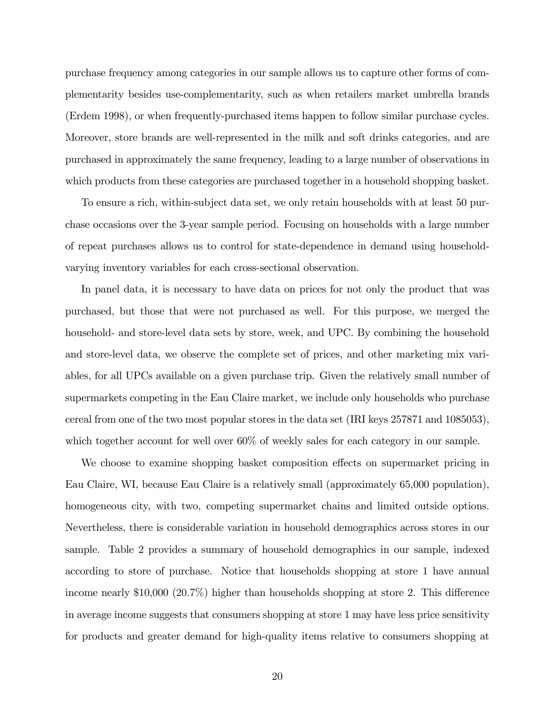purchase frequency among categories in our sample allows us to capture other forms of complementarity besides use-complementarity, such as when retailers market umbrella brands (Erdem 1998), or when frequently-purchased items happen to follow similar purchase cycles. Moreover, store brands are well-represented in the milk and soft drinks categories, and are purchased in approximately the same frequency, leading to a large number of observations in which products from these categories are purchased together in a household shopping basket.

To ensure a rich, within-subject data set, we only retain households with at least 50 purchase occasions over the 3-year sample period. Focusing on households with a large number of repeat purchases allows us to control for state-dependence in demand using householdvarying inventory variables for each cross-sectional observation.

In panel data, it is necessary to have data on prices for not only the product that was purchased, but those that were not purchased as well. For this purpose, we merged the household- and store-level data sets by store, week, and UPC. By combining the household and store-level data, we observe the complete set of prices, and other marketing mix variables, for all UPCs available on a given purchase trip. Given the relatively small number of supermarkets competing in the Eau Claire market, we include only households who purchase cereal from one of the two most popular stores in the data set (IRI keys 257871 and 1085053), which together account for well over  $60\%$  of weekly sales for each category in our sample.

We choose to examine shopping basket composition effects on supermarket pricing in Eau Claire, WI, because Eau Claire is a relatively small (approximately 65,000 population), homogeneous city, with two, competing supermarket chains and limited outside options. Nevertheless, there is considerable variation in household demographics across stores in our sample. Table 2 provides a summary of household demographics in our sample, indexed according to store of purchase. Notice that households shopping at store 1 have annual income nearly  $$10,000$  (20.7%) higher than households shopping at store 2. This difference in average income suggests that consumers shopping at store 1 may have less price sensitivity for products and greater demand for high-quality items relative to consumers shopping at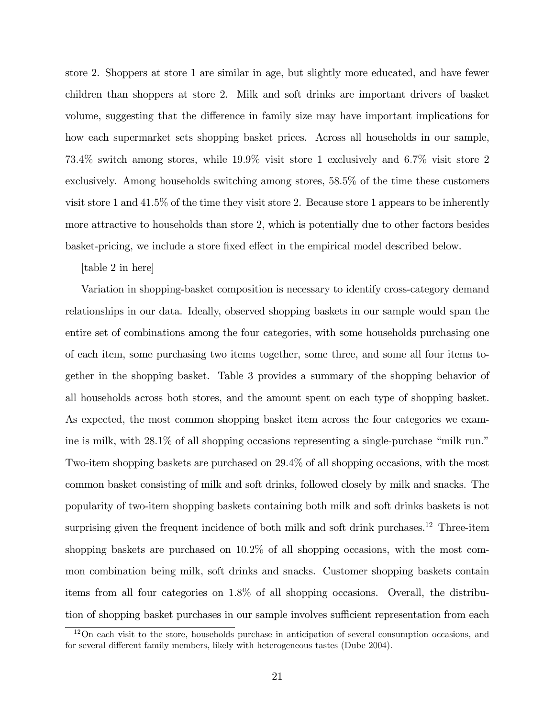store 2. Shoppers at store 1 are similar in age, but slightly more educated, and have fewer children than shoppers at store 2. Milk and soft drinks are important drivers of basket volume, suggesting that the difference in family size may have important implications for how each supermarket sets shopping basket prices. Across all households in our sample, 73:4% switch among stores, while 19:9% visit store 1 exclusively and 6:7% visit store 2 exclusively. Among households switching among stores, 58:5% of the time these customers visit store 1 and 41:5% of the time they visit store 2. Because store 1 appears to be inherently more attractive to households than store 2, which is potentially due to other factors besides basket-pricing, we include a store fixed effect in the empirical model described below.

[table 2 in here]

Variation in shopping-basket composition is necessary to identify cross-category demand relationships in our data. Ideally, observed shopping baskets in our sample would span the entire set of combinations among the four categories, with some households purchasing one of each item, some purchasing two items together, some three, and some all four items together in the shopping basket. Table 3 provides a summary of the shopping behavior of all households across both stores, and the amount spent on each type of shopping basket. As expected, the most common shopping basket item across the four categories we examine is milk, with  $28.1\%$  of all shopping occasions representing a single-purchase "milk run." Two-item shopping baskets are purchased on 29:4% of all shopping occasions, with the most common basket consisting of milk and soft drinks, followed closely by milk and snacks. The popularity of two-item shopping baskets containing both milk and soft drinks baskets is not surprising given the frequent incidence of both milk and soft drink purchases.<sup>12</sup> Three-item shopping baskets are purchased on 10:2% of all shopping occasions, with the most common combination being milk, soft drinks and snacks. Customer shopping baskets contain items from all four categories on 1:8% of all shopping occasions. Overall, the distribution of shopping basket purchases in our sample involves sufficient representation from each

<sup>&</sup>lt;sup>12</sup>On each visit to the store, households purchase in anticipation of several consumption occasions, and for several different family members, likely with heterogeneous tastes (Dube 2004).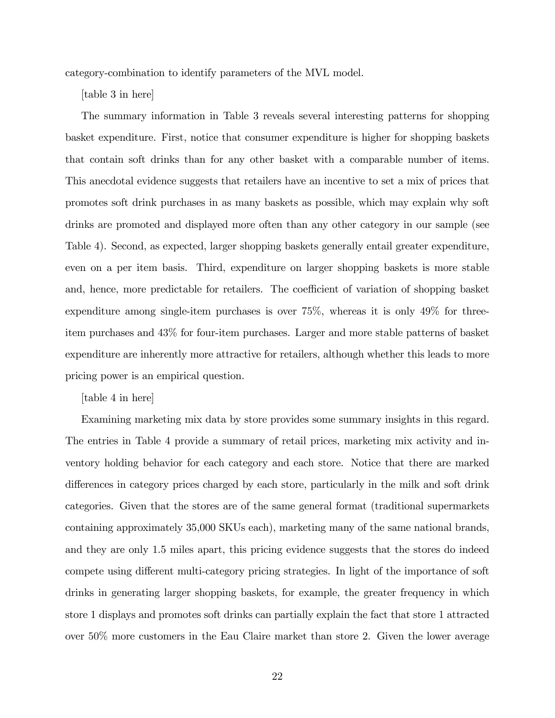category-combination to identify parameters of the MVL model.

[table 3 in here]

The summary information in Table 3 reveals several interesting patterns for shopping basket expenditure. First, notice that consumer expenditure is higher for shopping baskets that contain soft drinks than for any other basket with a comparable number of items. This anecdotal evidence suggests that retailers have an incentive to set a mix of prices that promotes soft drink purchases in as many baskets as possible, which may explain why soft drinks are promoted and displayed more often than any other category in our sample (see Table 4). Second, as expected, larger shopping baskets generally entail greater expenditure, even on a per item basis. Third, expenditure on larger shopping baskets is more stable and, hence, more predictable for retailers. The coefficient of variation of shopping basket expenditure among single-item purchases is over 75%, whereas it is only 49% for threeitem purchases and 43% for four-item purchases. Larger and more stable patterns of basket expenditure are inherently more attractive for retailers, although whether this leads to more pricing power is an empirical question.

[table 4 in here]

Examining marketing mix data by store provides some summary insights in this regard. The entries in Table 4 provide a summary of retail prices, marketing mix activity and inventory holding behavior for each category and each store. Notice that there are marked differences in category prices charged by each store, particularly in the milk and soft drink categories. Given that the stores are of the same general format (traditional supermarkets containing approximately 35,000 SKUs each), marketing many of the same national brands, and they are only 1.5 miles apart, this pricing evidence suggests that the stores do indeed compete using different multi-category pricing strategies. In light of the importance of soft drinks in generating larger shopping baskets, for example, the greater frequency in which store 1 displays and promotes soft drinks can partially explain the fact that store 1 attracted over 50% more customers in the Eau Claire market than store 2. Given the lower average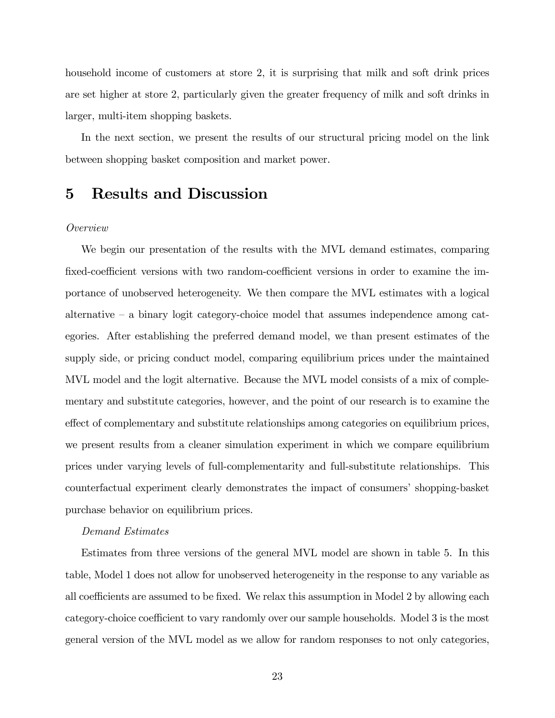household income of customers at store 2, it is surprising that milk and soft drink prices are set higher at store 2, particularly given the greater frequency of milk and soft drinks in larger, multi-item shopping baskets.

In the next section, we present the results of our structural pricing model on the link between shopping basket composition and market power.

### 5 Results and Discussion

### Overview

We begin our presentation of the results with the MVL demand estimates, comparing fixed-coefficient versions with two random-coefficient versions in order to examine the importance of unobserved heterogeneity. We then compare the MVL estimates with a logical alternative  $\overline{\phantom{a}}$  a binary logit category-choice model that assumes independence among categories. After establishing the preferred demand model, we than present estimates of the supply side, or pricing conduct model, comparing equilibrium prices under the maintained MVL model and the logit alternative. Because the MVL model consists of a mix of complementary and substitute categories, however, and the point of our research is to examine the effect of complementary and substitute relationships among categories on equilibrium prices, we present results from a cleaner simulation experiment in which we compare equilibrium prices under varying levels of full-complementarity and full-substitute relationships. This counterfactual experiment clearly demonstrates the impact of consumersí shopping-basket purchase behavior on equilibrium prices.

### Demand Estimates

Estimates from three versions of the general MVL model are shown in table 5. In this table, Model 1 does not allow for unobserved heterogeneity in the response to any variable as all coefficients are assumed to be fixed. We relax this assumption in Model 2 by allowing each category-choice coefficient to vary randomly over our sample households. Model 3 is the most general version of the MVL model as we allow for random responses to not only categories,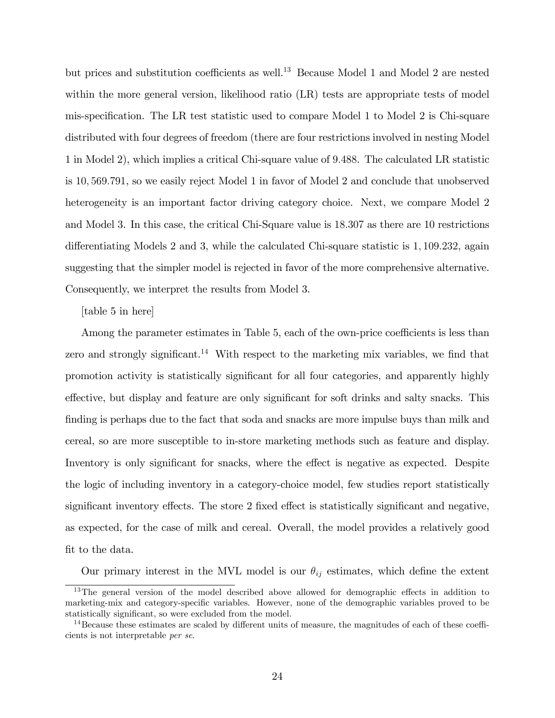but prices and substitution coefficients as well.<sup>13</sup> Because Model 1 and Model 2 are nested within the more general version, likelihood ratio (LR) tests are appropriate tests of model mis-specification. The LR test statistic used to compare Model 1 to Model 2 is Chi-square distributed with four degrees of freedom (there are four restrictions involved in nesting Model 1 in Model 2), which implies a critical Chi-square value of 9:488. The calculated LR statistic is 10; 569:791, so we easily reject Model 1 in favor of Model 2 and conclude that unobserved heterogeneity is an important factor driving category choice. Next, we compare Model 2 and Model 3. In this case, the critical Chi-Square value is 18:307 as there are 10 restrictions differentiating Models 2 and 3, while the calculated Chi-square statistic is  $1,109.232$ , again suggesting that the simpler model is rejected in favor of the more comprehensive alternative. Consequently, we interpret the results from Model 3.

[table 5 in here]

Among the parameter estimates in Table 5, each of the own-price coefficients is less than zero and strongly significant.<sup>14</sup> With respect to the marketing mix variables, we find that promotion activity is statistically significant for all four categories, and apparently highly effective, but display and feature are only significant for soft drinks and salty snacks. This finding is perhaps due to the fact that soda and snacks are more impulse buys than milk and cereal, so are more susceptible to in-store marketing methods such as feature and display. Inventory is only significant for snacks, where the effect is negative as expected. Despite the logic of including inventory in a category-choice model, few studies report statistically significant inventory effects. The store 2 fixed effect is statistically significant and negative, as expected, for the case of milk and cereal. Overall, the model provides a relatively good fit to the data.

Our primary interest in the MVL model is our  $\theta_{ij}$  estimates, which define the extent

 $13$ The general version of the model described above allowed for demographic effects in addition to marketing-mix and category-specific variables. However, none of the demographic variables proved to be statistically significant, so were excluded from the model.

<sup>&</sup>lt;sup>14</sup>Because these estimates are scaled by different units of measure, the magnitudes of each of these coefficients is not interpretable per se.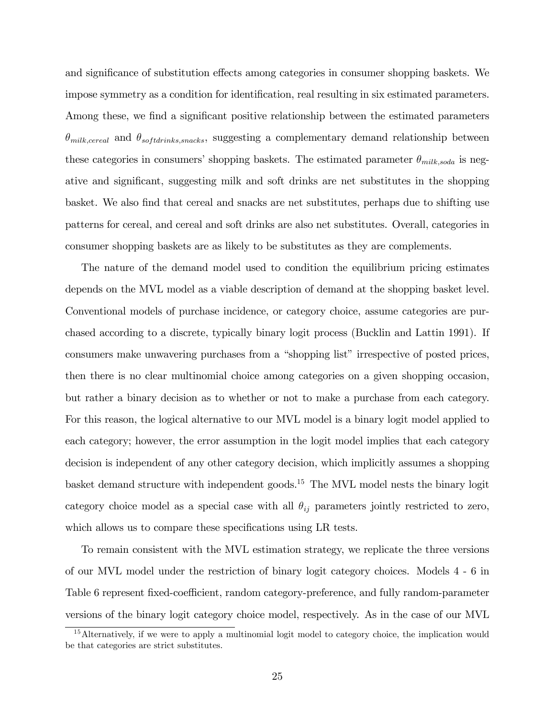and significance of substitution effects among categories in consumer shopping baskets. We impose symmetry as a condition for identification, real resulting in six estimated parameters. Among these, we find a significant positive relationship between the estimated parameters  $\theta_{milk,cercal}$  and  $\theta_{softdrinks,snacks}$ , suggesting a complementary demand relationship between these categories in consumers' shopping baskets. The estimated parameter  $\theta_{milk,soda}$  is negative and significant, suggesting milk and soft drinks are net substitutes in the shopping basket. We also Önd that cereal and snacks are net substitutes, perhaps due to shifting use patterns for cereal, and cereal and soft drinks are also net substitutes. Overall, categories in consumer shopping baskets are as likely to be substitutes as they are complements.

The nature of the demand model used to condition the equilibrium pricing estimates depends on the MVL model as a viable description of demand at the shopping basket level. Conventional models of purchase incidence, or category choice, assume categories are purchased according to a discrete, typically binary logit process (Bucklin and Lattin 1991). If consumers make unwavering purchases from a "shopping list" irrespective of posted prices, then there is no clear multinomial choice among categories on a given shopping occasion, but rather a binary decision as to whether or not to make a purchase from each category. For this reason, the logical alternative to our MVL model is a binary logit model applied to each category; however, the error assumption in the logit model implies that each category decision is independent of any other category decision, which implicitly assumes a shopping basket demand structure with independent goods.<sup>15</sup> The MVL model nests the binary logit category choice model as a special case with all  $\theta_{ij}$  parameters jointly restricted to zero, which allows us to compare these specifications using LR tests.

To remain consistent with the MVL estimation strategy, we replicate the three versions of our MVL model under the restriction of binary logit category choices. Models 4 - 6 in Table 6 represent fixed-coefficient, random category-preference, and fully random-parameter versions of the binary logit category choice model, respectively. As in the case of our MVL

<sup>&</sup>lt;sup>15</sup>Alternatively, if we were to apply a multinomial logit model to category choice, the implication would be that categories are strict substitutes.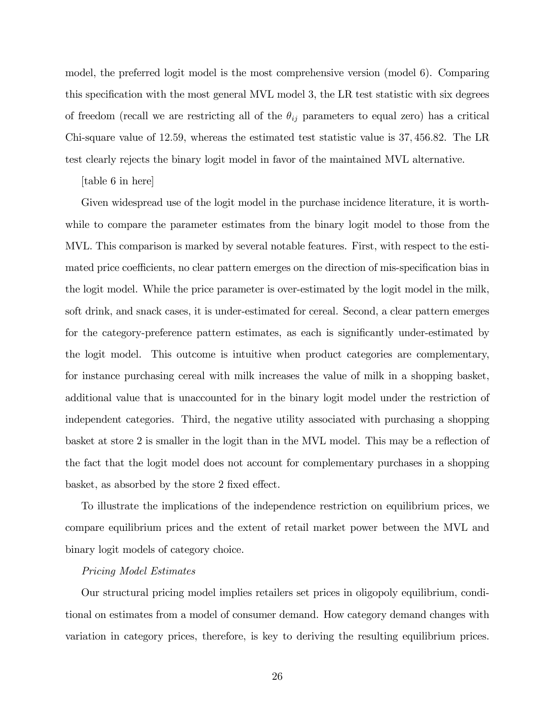model, the preferred logit model is the most comprehensive version (model 6). Comparing this specification with the most general MVL model 3, the LR test statistic with six degrees of freedom (recall we are restricting all of the  $\theta_{ij}$  parameters to equal zero) has a critical Chi-square value of 12:59, whereas the estimated test statistic value is 37; 456:82. The LR test clearly rejects the binary logit model in favor of the maintained MVL alternative.

[table 6 in here]

Given widespread use of the logit model in the purchase incidence literature, it is worthwhile to compare the parameter estimates from the binary logit model to those from the MVL. This comparison is marked by several notable features. First, with respect to the estimated price coefficients, no clear pattern emerges on the direction of mis-specification bias in the logit model. While the price parameter is over-estimated by the logit model in the milk, soft drink, and snack cases, it is under-estimated for cereal. Second, a clear pattern emerges for the category-preference pattern estimates, as each is significantly under-estimated by the logit model. This outcome is intuitive when product categories are complementary, for instance purchasing cereal with milk increases the value of milk in a shopping basket, additional value that is unaccounted for in the binary logit model under the restriction of independent categories. Third, the negative utility associated with purchasing a shopping basket at store 2 is smaller in the logit than in the MVL model. This may be a reflection of the fact that the logit model does not account for complementary purchases in a shopping basket, as absorbed by the store 2 fixed effect.

To illustrate the implications of the independence restriction on equilibrium prices, we compare equilibrium prices and the extent of retail market power between the MVL and binary logit models of category choice.

### Pricing Model Estimates

Our structural pricing model implies retailers set prices in oligopoly equilibrium, conditional on estimates from a model of consumer demand. How category demand changes with variation in category prices, therefore, is key to deriving the resulting equilibrium prices.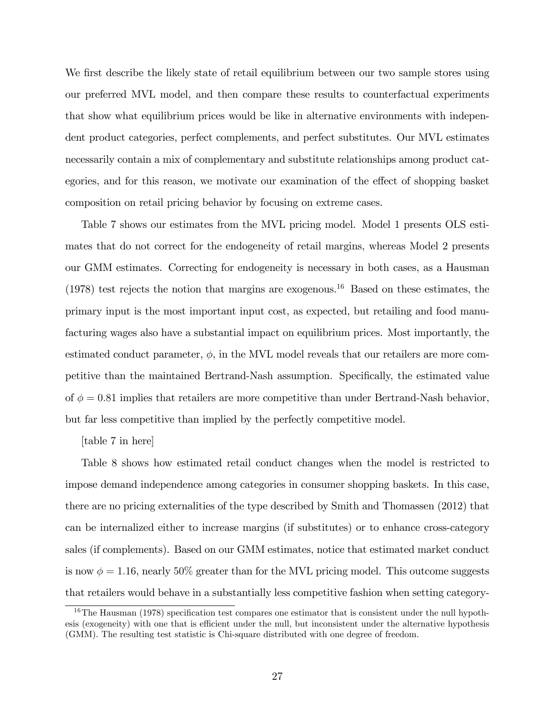We first describe the likely state of retail equilibrium between our two sample stores using our preferred MVL model, and then compare these results to counterfactual experiments that show what equilibrium prices would be like in alternative environments with independent product categories, perfect complements, and perfect substitutes. Our MVL estimates necessarily contain a mix of complementary and substitute relationships among product categories, and for this reason, we motivate our examination of the effect of shopping basket composition on retail pricing behavior by focusing on extreme cases.

Table 7 shows our estimates from the MVL pricing model. Model 1 presents OLS estimates that do not correct for the endogeneity of retail margins, whereas Model 2 presents our GMM estimates. Correcting for endogeneity is necessary in both cases, as a Hausman  $(1978)$  test rejects the notion that margins are exogenous.<sup>16</sup> Based on these estimates, the primary input is the most important input cost, as expected, but retailing and food manufacturing wages also have a substantial impact on equilibrium prices. Most importantly, the estimated conduct parameter,  $\phi$ , in the MVL model reveals that our retailers are more competitive than the maintained Bertrand-Nash assumption. SpeciÖcally, the estimated value of  $\phi = 0.81$  implies that retailers are more competitive than under Bertrand-Nash behavior, but far less competitive than implied by the perfectly competitive model.

### [table 7 in here]

Table 8 shows how estimated retail conduct changes when the model is restricted to impose demand independence among categories in consumer shopping baskets. In this case, there are no pricing externalities of the type described by Smith and Thomassen (2012) that can be internalized either to increase margins (if substitutes) or to enhance cross-category sales (if complements). Based on our GMM estimates, notice that estimated market conduct is now  $\phi = 1.16$ , nearly 50% greater than for the MVL pricing model. This outcome suggests that retailers would behave in a substantially less competitive fashion when setting category-

 $16$ The Hausman (1978) specification test compares one estimator that is consistent under the null hypothesis (exogeneity) with one that is efficient under the null, but inconsistent under the alternative hypothesis (GMM). The resulting test statistic is Chi-square distributed with one degree of freedom.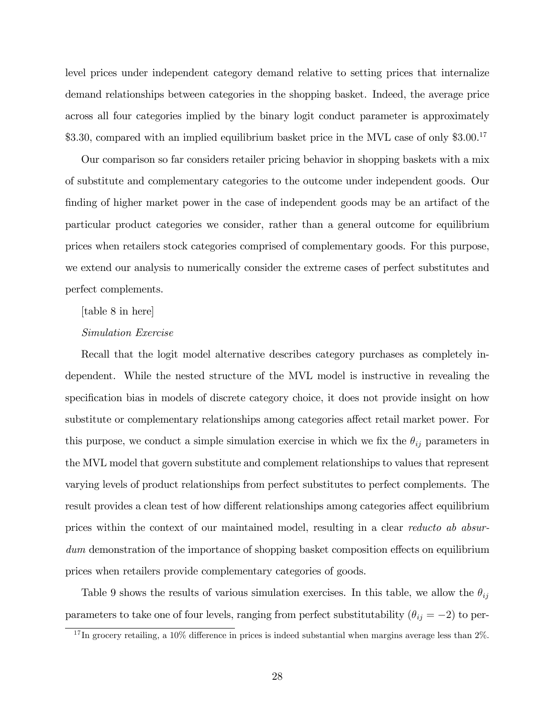level prices under independent category demand relative to setting prices that internalize demand relationships between categories in the shopping basket. Indeed, the average price across all four categories implied by the binary logit conduct parameter is approximately \$3.30, compared with an implied equilibrium basket price in the MVL case of only \$3.00.<sup>17</sup>

Our comparison so far considers retailer pricing behavior in shopping baskets with a mix of substitute and complementary categories to the outcome under independent goods. Our finding of higher market power in the case of independent goods may be an artifact of the particular product categories we consider, rather than a general outcome for equilibrium prices when retailers stock categories comprised of complementary goods. For this purpose, we extend our analysis to numerically consider the extreme cases of perfect substitutes and perfect complements.

[table 8 in here]

### Simulation Exercise

Recall that the logit model alternative describes category purchases as completely independent. While the nested structure of the MVL model is instructive in revealing the specification bias in models of discrete category choice, it does not provide insight on how substitute or complementary relationships among categories affect retail market power. For this purpose, we conduct a simple simulation exercise in which we fix the  $\theta_{ij}$  parameters in the MVL model that govern substitute and complement relationships to values that represent varying levels of product relationships from perfect substitutes to perfect complements. The result provides a clean test of how different relationships among categories affect equilibrium prices within the context of our maintained model, resulting in a clear reducto ab absur $dum$  demonstration of the importance of shopping basket composition effects on equilibrium prices when retailers provide complementary categories of goods.

Table 9 shows the results of various simulation exercises. In this table, we allow the  $\theta_{ij}$ parameters to take one of four levels, ranging from perfect substitutability ( $\theta_{ij} = -2$ ) to per-

 $17$  In grocery retailing, a 10% difference in prices is indeed substantial when margins average less than 2%.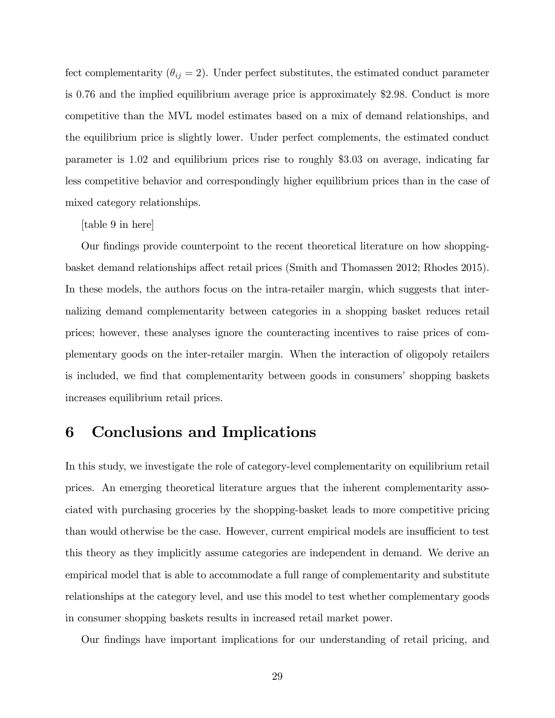fect complementarity ( $\theta_{ij} = 2$ ). Under perfect substitutes, the estimated conduct parameter is 0:76 and the implied equilibrium average price is approximately \$2:98: Conduct is more competitive than the MVL model estimates based on a mix of demand relationships, and the equilibrium price is slightly lower. Under perfect complements, the estimated conduct parameter is 1:02 and equilibrium prices rise to roughly \$3:03 on average, indicating far less competitive behavior and correspondingly higher equilibrium prices than in the case of mixed category relationships.

### [table 9 in here]

Our findings provide counterpoint to the recent theoretical literature on how shoppingbasket demand relationships affect retail prices (Smith and Thomassen 2012; Rhodes 2015). In these models, the authors focus on the intra-retailer margin, which suggests that internalizing demand complementarity between categories in a shopping basket reduces retail prices; however, these analyses ignore the counteracting incentives to raise prices of complementary goods on the inter-retailer margin. When the interaction of oligopoly retailers is included, we find that complementarity between goods in consumers' shopping baskets increases equilibrium retail prices.

### 6 Conclusions and Implications

In this study, we investigate the role of category-level complementarity on equilibrium retail prices. An emerging theoretical literature argues that the inherent complementarity associated with purchasing groceries by the shopping-basket leads to more competitive pricing than would otherwise be the case. However, current empirical models are insufficient to test this theory as they implicitly assume categories are independent in demand. We derive an empirical model that is able to accommodate a full range of complementarity and substitute relationships at the category level, and use this model to test whether complementary goods in consumer shopping baskets results in increased retail market power.

Our Öndings have important implications for our understanding of retail pricing, and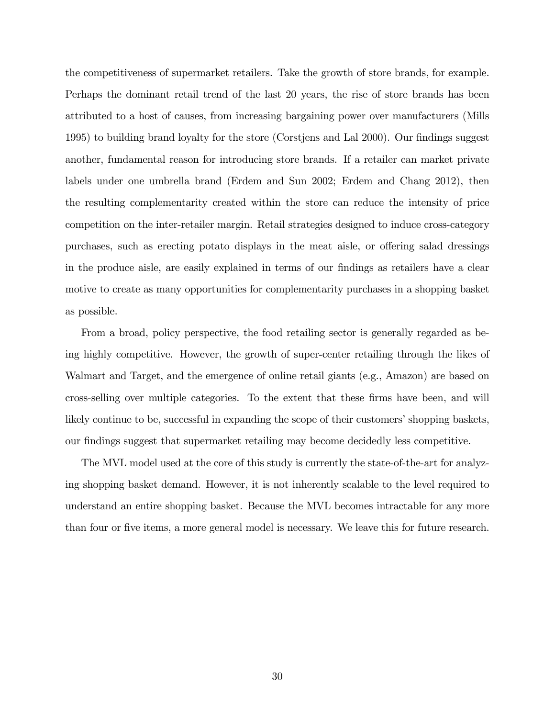the competitiveness of supermarket retailers. Take the growth of store brands, for example. Perhaps the dominant retail trend of the last 20 years, the rise of store brands has been attributed to a host of causes, from increasing bargaining power over manufacturers (Mills 1995) to building brand loyalty for the store (Corstjens and Lal 2000). Our findings suggest another, fundamental reason for introducing store brands. If a retailer can market private labels under one umbrella brand (Erdem and Sun 2002; Erdem and Chang 2012), then the resulting complementarity created within the store can reduce the intensity of price competition on the inter-retailer margin. Retail strategies designed to induce cross-category purchases, such as erecting potato displays in the meat aisle, or offering salad dressings in the produce aisle, are easily explained in terms of our findings as retailers have a clear motive to create as many opportunities for complementarity purchases in a shopping basket as possible.

From a broad, policy perspective, the food retailing sector is generally regarded as being highly competitive. However, the growth of super-center retailing through the likes of Walmart and Target, and the emergence of online retail giants (e.g., Amazon) are based on cross-selling over multiple categories. To the extent that these Örms have been, and will likely continue to be, successful in expanding the scope of their customers' shopping baskets, our Öndings suggest that supermarket retailing may become decidedly less competitive.

The MVL model used at the core of this study is currently the state-of-the-art for analyzing shopping basket demand. However, it is not inherently scalable to the level required to understand an entire shopping basket. Because the MVL becomes intractable for any more than four or five items, a more general model is necessary. We leave this for future research.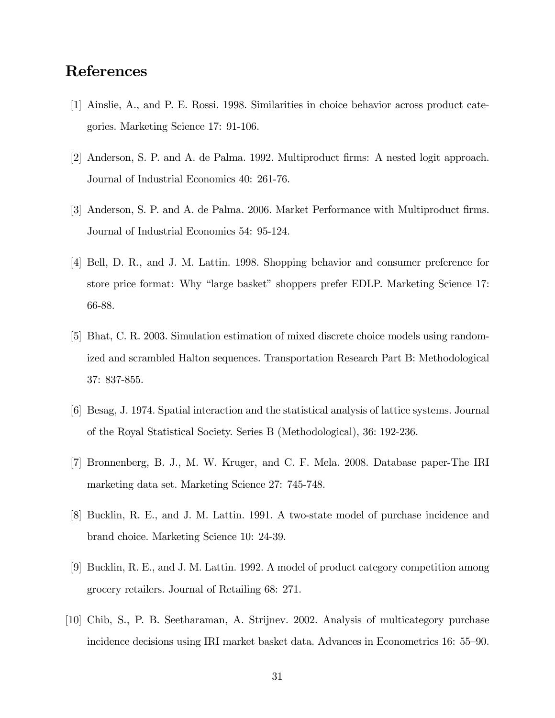### References

- [1] Ainslie, A., and P. E. Rossi. 1998. Similarities in choice behavior across product categories. Marketing Science 17: 91-106.
- [2] Anderson, S. P. and A. de Palma. 1992. Multiproduct Örms: A nested logit approach. Journal of Industrial Economics 40: 261-76.
- [3] Anderson, S. P. and A. de Palma. 2006. Market Performance with Multiproduct firms. Journal of Industrial Economics 54: 95-124.
- [4] Bell, D. R., and J. M. Lattin. 1998. Shopping behavior and consumer preference for store price format: Why "large basket" shoppers prefer EDLP. Marketing Science 17: 66-88.
- [5] Bhat, C. R. 2003. Simulation estimation of mixed discrete choice models using randomized and scrambled Halton sequences. Transportation Research Part B: Methodological 37: 837-855.
- [6] Besag, J. 1974. Spatial interaction and the statistical analysis of lattice systems. Journal of the Royal Statistical Society. Series B (Methodological), 36: 192-236.
- [7] Bronnenberg, B. J., M. W. Kruger, and C. F. Mela. 2008. Database paper-The IRI marketing data set. Marketing Science 27: 745-748.
- [8] Bucklin, R. E., and J. M. Lattin. 1991. A two-state model of purchase incidence and brand choice. Marketing Science 10: 24-39.
- [9] Bucklin, R. E., and J. M. Lattin. 1992. A model of product category competition among grocery retailers. Journal of Retailing 68: 271.
- [10] Chib, S., P. B. Seetharaman, A. Strijnev. 2002. Analysis of multicategory purchase incidence decisions using IRI market basket data. Advances in Econometrics 16: 55–90.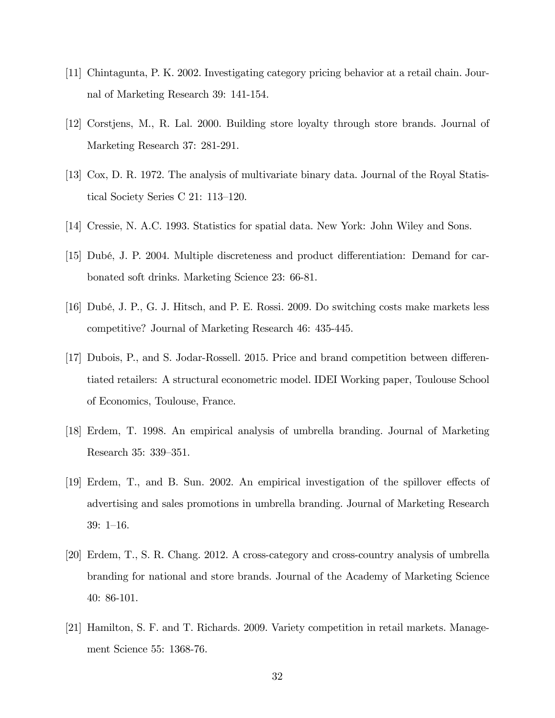- [11] Chintagunta, P. K. 2002. Investigating category pricing behavior at a retail chain. Journal of Marketing Research 39: 141-154.
- [12] Corstjens, M., R. Lal. 2000. Building store loyalty through store brands. Journal of Marketing Research 37: 281-291.
- [13] Cox, D. R. 1972. The analysis of multivariate binary data. Journal of the Royal Statistical Society Series C  $21: 113-120$ .
- [14] Cressie, N. A.C. 1993. Statistics for spatial data. New York: John Wiley and Sons.
- [15] Dubé, J. P. 2004. Multiple discreteness and product differentiation: Demand for carbonated soft drinks. Marketing Science 23: 66-81.
- [16] DubÈ, J. P., G. J. Hitsch, and P. E. Rossi. 2009. Do switching costs make markets less competitive? Journal of Marketing Research 46: 435-445.
- [17] Dubois, P., and S. Jodar-Rossell. 2015. Price and brand competition between differentiated retailers: A structural econometric model. IDEI Working paper, Toulouse School of Economics, Toulouse, France.
- [18] Erdem, T. 1998. An empirical analysis of umbrella branding. Journal of Marketing Research 35: 339–351.
- [19] Erdem, T., and B. Sun. 2002. An empirical investigation of the spillover effects of advertising and sales promotions in umbrella branding. Journal of Marketing Research  $39: 1-16.$
- [20] Erdem, T., S. R. Chang. 2012. A cross-category and cross-country analysis of umbrella branding for national and store brands. Journal of the Academy of Marketing Science 40: 86-101.
- [21] Hamilton, S. F. and T. Richards. 2009. Variety competition in retail markets. Management Science 55: 1368-76.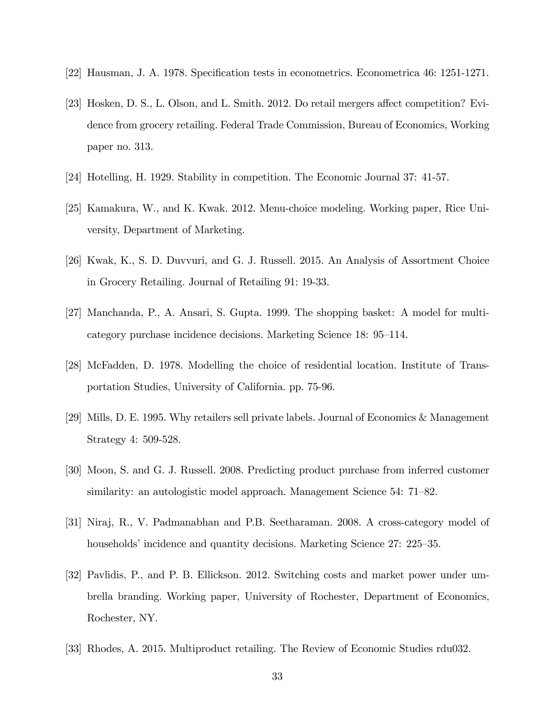- $[22]$  Hausman, J. A. 1978. Specification tests in econometrics. Econometrica 46: 1251-1271.
- [23] Hosken, D. S., L. Olson, and L. Smith. 2012. Do retail mergers affect competition? Evidence from grocery retailing. Federal Trade Commission, Bureau of Economics, Working paper no. 313.
- [24] Hotelling, H. 1929. Stability in competition. The Economic Journal 37: 41-57.
- [25] Kamakura, W., and K. Kwak. 2012. Menu-choice modeling. Working paper, Rice University, Department of Marketing.
- [26] Kwak, K., S. D. Duvvuri, and G. J. Russell. 2015. An Analysis of Assortment Choice in Grocery Retailing. Journal of Retailing 91: 19-33.
- [27] Manchanda, P., A. Ansari, S. Gupta. 1999. The shopping basket: A model for multicategory purchase incidence decisions. Marketing Science 18: 95–114.
- [28] McFadden, D. 1978. Modelling the choice of residential location. Institute of Transportation Studies, University of California. pp. 75-96.
- [29] Mills, D. E. 1995. Why retailers sell private labels. Journal of Economics & Management Strategy 4: 509-528.
- [30] Moon, S. and G. J. Russell. 2008. Predicting product purchase from inferred customer similarity: an autologistic model approach. Management Science  $54: 71-82$ .
- [31] Niraj, R., V. Padmanabhan and P.B. Seetharaman. 2008. A cross-category model of households<sup>*i*</sup> incidence and quantity decisions. Marketing Science 27: 225–35.
- [32] Pavlidis, P., and P. B. Ellickson. 2012. Switching costs and market power under umbrella branding. Working paper, University of Rochester, Department of Economics, Rochester, NY.
- [33] Rhodes, A. 2015. Multiproduct retailing. The Review of Economic Studies rdu032.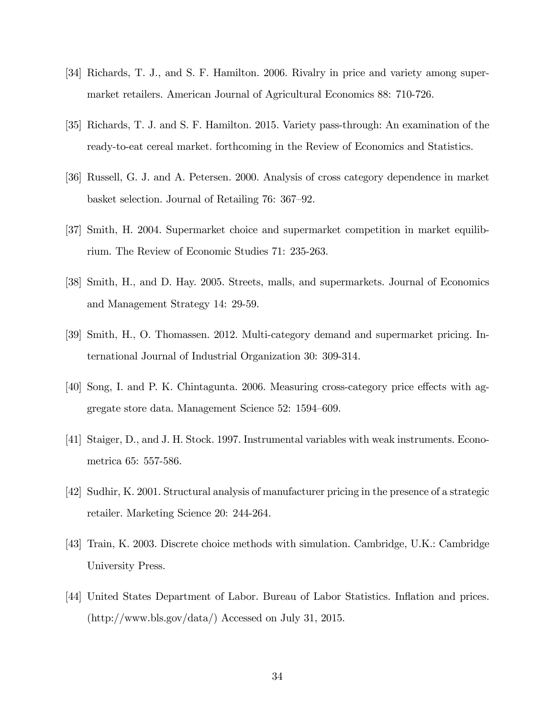- [34] Richards, T. J., and S. F. Hamilton. 2006. Rivalry in price and variety among supermarket retailers. American Journal of Agricultural Economics 88: 710-726.
- [35] Richards, T. J. and S. F. Hamilton. 2015. Variety pass-through: An examination of the ready-to-eat cereal market. forthcoming in the Review of Economics and Statistics.
- [36] Russell, G. J. and A. Petersen. 2000. Analysis of cross category dependence in market basket selection. Journal of Retailing 76: 367–92.
- [37] Smith, H. 2004. Supermarket choice and supermarket competition in market equilibrium. The Review of Economic Studies 71: 235-263.
- [38] Smith, H., and D. Hay. 2005. Streets, malls, and supermarkets. Journal of Economics and Management Strategy 14: 29-59.
- [39] Smith, H., O. Thomassen. 2012. Multi-category demand and supermarket pricing. International Journal of Industrial Organization 30: 309-314.
- [40] Song, I. and P. K. Chintagunta. 2006. Measuring cross-category price effects with aggregate store data. Management Science 52: 1594–609.
- [41] Staiger, D., and J. H. Stock. 1997. Instrumental variables with weak instruments. Econometrica 65: 557-586.
- [42] Sudhir, K. 2001. Structural analysis of manufacturer pricing in the presence of a strategic retailer. Marketing Science 20: 244-264.
- [43] Train, K. 2003. Discrete choice methods with simulation. Cambridge, U.K.: Cambridge University Press.
- [44] United States Department of Labor. Bureau of Labor Statistics. Inflation and prices. (http://www.bls.gov/data/) Accessed on July 31, 2015.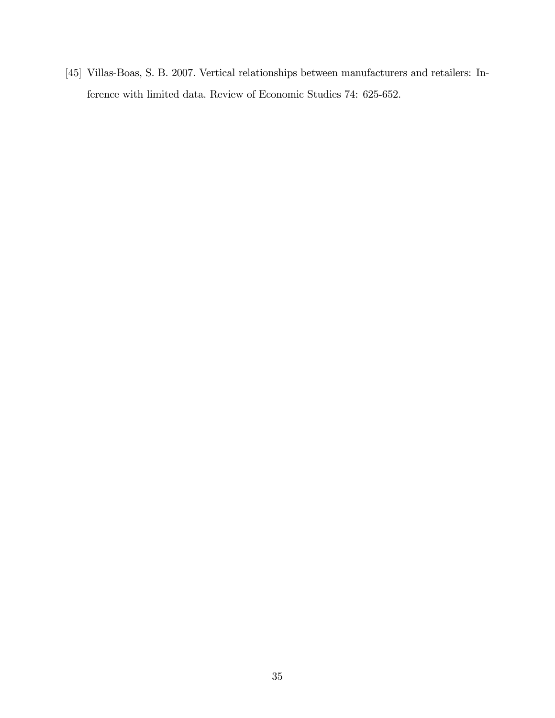[45] Villas-Boas, S. B. 2007. Vertical relationships between manufacturers and retailers: Inference with limited data. Review of Economic Studies 74: 625-652.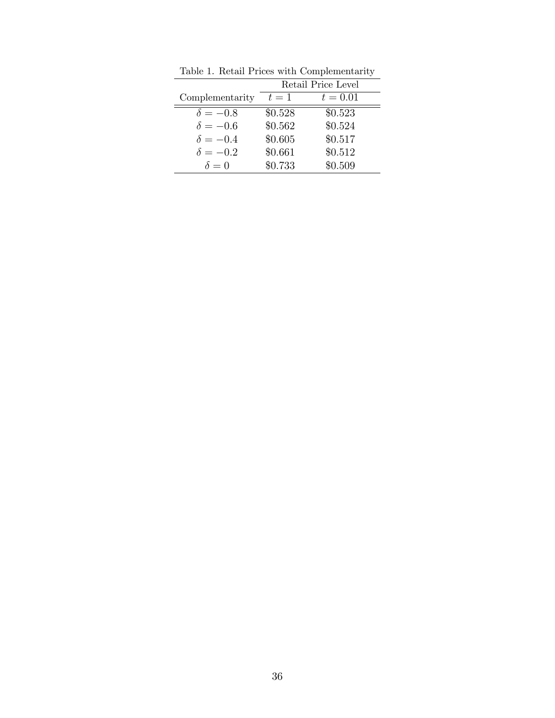|                 |         | Retail Price Level |
|-----------------|---------|--------------------|
| Complementarity | $t=1$   | $t = 0.01$         |
| $\delta = -0.8$ | \$0.528 | \$0.523            |
| $\delta = -0.6$ | \$0.562 | \$0.524            |
| $\delta = -0.4$ | \$0.605 | \$0.517            |
| $\delta = -0.2$ | \$0.661 | \$0.512            |
| $\delta = 0$    | \$0.733 | \$0.509            |
|                 |         |                    |

Table 1. Retail Prices with Complementarity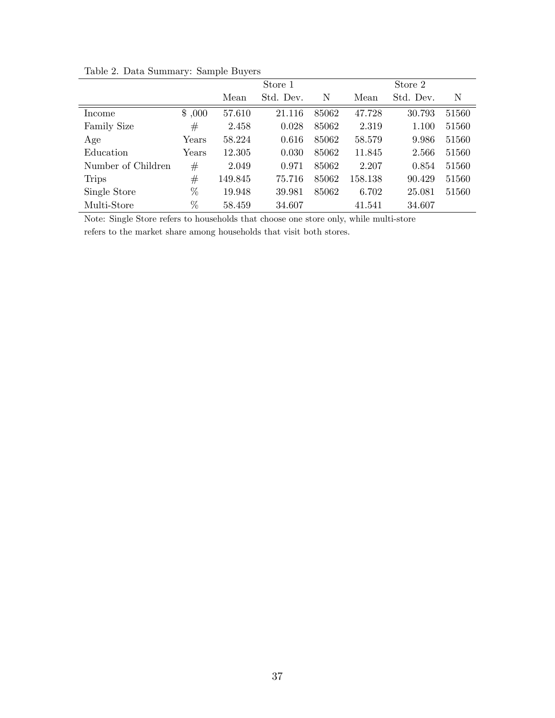|                    |       |         | Store 1   |       |         | Store 2   |       |
|--------------------|-------|---------|-----------|-------|---------|-----------|-------|
|                    |       | Mean    | Std. Dev. | N     | Mean    | Std. Dev. | N     |
| Income             | 000   | 57.610  | 21.116    | 85062 | 47.728  | 30.793    | 51560 |
| <b>Family Size</b> | #     | 2.458   | 0.028     | 85062 | 2.319   | 1.100     | 51560 |
| Age                | Years | 58.224  | 0.616     | 85062 | 58.579  | 9.986     | 51560 |
| Education          | Years | 12.305  | 0.030     | 85062 | 11.845  | 2.566     | 51560 |
| Number of Children | #     | 2.049   | 0.971     | 85062 | 2.207   | 0.854     | 51560 |
| <b>Trips</b>       | #     | 149.845 | 75.716    | 85062 | 158.138 | 90.429    | 51560 |
| Single Store       | %     | 19.948  | 39.981    | 85062 | 6.702   | 25.081    | 51560 |
| Multi-Store        | %     | 58.459  | 34.607    |       | 41.541  | 34.607    |       |

Table 2. Data Summary: Sample Buyers

Note: Single Store refers to households that choose one store only, while multi-store

refers to the market share among households that visit both stores.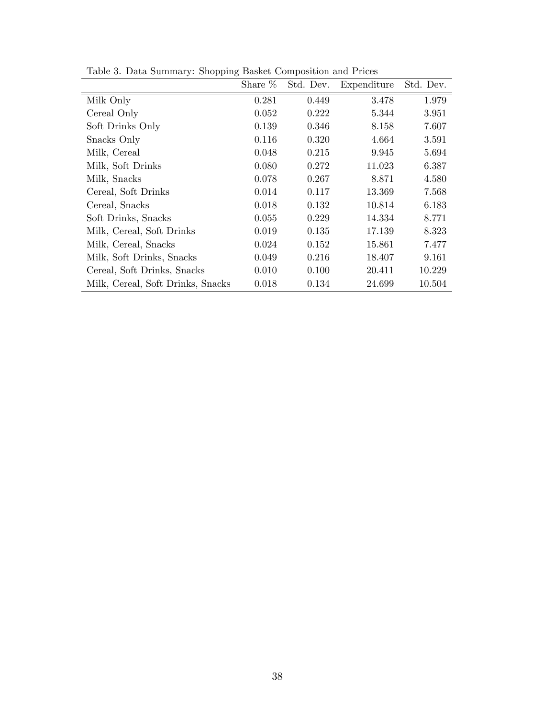|                                   | Share $%$ | Std. Dev. | Expenditure | Std. Dev. |
|-----------------------------------|-----------|-----------|-------------|-----------|
| Milk Only                         | 0.281     | 0.449     | 3.478       | 1.979     |
| Cereal Only                       | 0.052     | 0.222     | 5.344       | 3.951     |
| Soft Drinks Only                  | 0.139     | 0.346     | 8.158       | 7.607     |
| Snacks Only                       | 0.116     | 0.320     | 4.664       | 3.591     |
| Milk, Cereal                      | 0.048     | 0.215     | 9.945       | 5.694     |
| Milk, Soft Drinks                 | 0.080     | 0.272     | 11.023      | 6.387     |
| Milk, Snacks                      | 0.078     | 0.267     | 8.871       | 4.580     |
| Cereal, Soft Drinks               | 0.014     | 0.117     | 13.369      | 7.568     |
| Cereal, Snacks                    | 0.018     | 0.132     | 10.814      | 6.183     |
| Soft Drinks, Snacks               | 0.055     | 0.229     | 14.334      | 8.771     |
| Milk, Cereal, Soft Drinks         | 0.019     | 0.135     | 17.139      | 8.323     |
| Milk, Cereal, Snacks              | 0.024     | 0.152     | 15.861      | 7.477     |
| Milk, Soft Drinks, Snacks         | 0.049     | 0.216     | 18.407      | 9.161     |
| Cereal, Soft Drinks, Snacks       | 0.010     | 0.100     | 20.411      | 10.229    |
| Milk, Cereal, Soft Drinks, Snacks | 0.018     | 0.134     | 24.699      | 10.504    |

Table 3. Data Summary: Shopping Basket Composition and Prices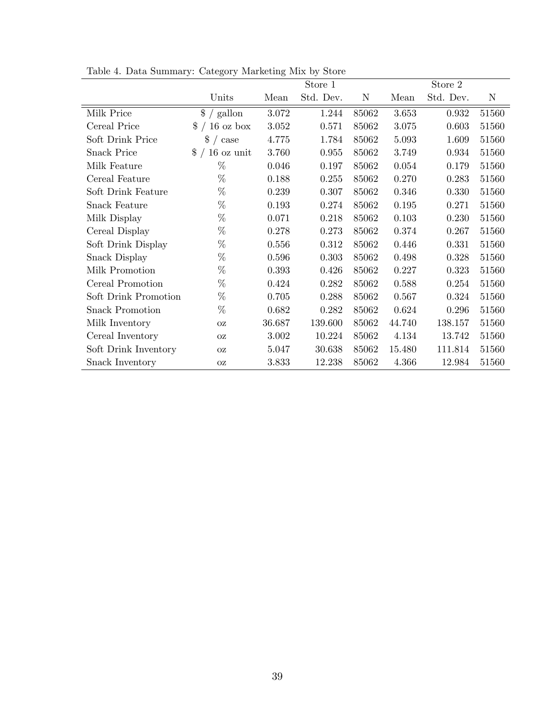|                        |                             |           | Store 1   |       |        | Store 2   |       |
|------------------------|-----------------------------|-----------|-----------|-------|--------|-----------|-------|
|                        | Units                       | Mean      | Std. Dev. | N     | Mean   | Std. Dev. | N     |
| Milk Price             | $\frac{1}{2}$ / gallon      | 3.072     | 1.244     | 85062 | 3.653  | 0.932     | 51560 |
| Cereal Price           | $\frac{16}{2}$ / 16 oz box  | $3.052\,$ | 0.571     | 85062 | 3.075  | 0.603     | 51560 |
| Soft Drink Price       | $\frac{1}{2}$ / case        | 4.775     | 1.784     | 85062 | 5.093  | 1.609     | 51560 |
| <b>Snack Price</b>     | $\sqrt[6]{}$ / $16$ oz unit | 3.760     | 0.955     | 85062 | 3.749  | 0.934     | 51560 |
| Milk Feature           | $\%$                        | 0.046     | 0.197     | 85062 | 0.054  | 0.179     | 51560 |
| Cereal Feature         | %                           | 0.188     | 0.255     | 85062 | 0.270  | 0.283     | 51560 |
| Soft Drink Feature     | %                           | 0.239     | 0.307     | 85062 | 0.346  | 0.330     | 51560 |
| Snack Feature          | $\%$                        | 0.193     | 0.274     | 85062 | 0.195  | 0.271     | 51560 |
| Milk Display           | $\%$                        | 0.071     | 0.218     | 85062 | 0.103  | 0.230     | 51560 |
| Cereal Display         | $\%$                        | 0.278     | 0.273     | 85062 | 0.374  | 0.267     | 51560 |
| Soft Drink Display     | %                           | 0.556     | 0.312     | 85062 | 0.446  | 0.331     | 51560 |
| Snack Display          | %                           | 0.596     | 0.303     | 85062 | 0.498  | 0.328     | 51560 |
| Milk Promotion         | %                           | 0.393     | 0.426     | 85062 | 0.227  | 0.323     | 51560 |
| Cereal Promotion       | %                           | 0.424     | 0.282     | 85062 | 0.588  | 0.254     | 51560 |
| Soft Drink Promotion   | %                           | 0.705     | 0.288     | 85062 | 0.567  | 0.324     | 51560 |
| <b>Snack Promotion</b> | %                           | 0.682     | 0.282     | 85062 | 0.624  | 0.296     | 51560 |
| Milk Inventory         | <b>OZ</b>                   | 36.687    | 139.600   | 85062 | 44.740 | 138.157   | 51560 |
| Cereal Inventory       | $\mathbf{O}\mathbf{Z}$      | 3.002     | 10.224    | 85062 | 4.134  | 13.742    | 51560 |
| Soft Drink Inventory   | $\mathbf{O}\mathbf{Z}$      | 5.047     | 30.638    | 85062 | 15.480 | 111.814   | 51560 |
| Snack Inventory        | OZ                          | 3.833     | 12.238    | 85062 | 4.366  | 12.984    | 51560 |

Table 4. Data Summary: Category Marketing Mix by Store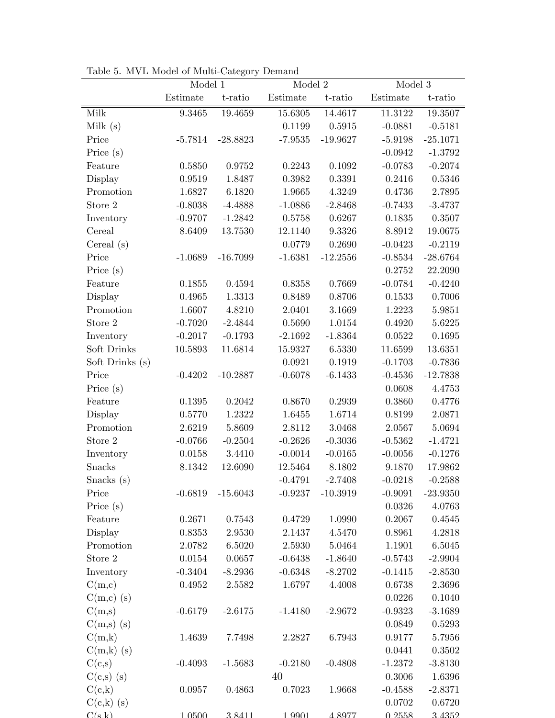|                 | Model 1   |            | Model 2   |            | Model 3   |            |
|-----------------|-----------|------------|-----------|------------|-----------|------------|
|                 | Estimate  | t-ratio    | Estimate  | t-ratio    | Estimate  | t-ratio    |
| Milk            | 9.3465    | 19.4659    | 15.6305   | 14.4617    | 11.3122   | 19.3507    |
| Milk $(s)$      |           |            | 0.1199    | 0.5915     | $-0.0881$ | $-0.5181$  |
| Price           | $-5.7814$ | $-28.8823$ | $-7.9535$ | $-19.9627$ | $-5.9198$ | $-25.1071$ |
| Price $(s)$     |           |            |           |            | $-0.0942$ | $-1.3792$  |
| Feature         | 0.5850    | $0.9752\,$ | 0.2243    | 0.1092     | $-0.0783$ | $-0.2074$  |
| Display         | 0.9519    | 1.8487     | 0.3982    | 0.3391     | 0.2416    | 0.5346     |
| Promotion       | 1.6827    | 6.1820     | 1.9665    | 4.3249     | 0.4736    | 2.7895     |
| Store 2         | $-0.8038$ | $-4.4888$  | $-1.0886$ | $-2.8468$  | $-0.7433$ | $-3.4737$  |
| Inventory       | $-0.9707$ | $-1.2842$  | 0.5758    | 0.6267     | 0.1835    | 0.3507     |
| Cereal          | 8.6409    | 13.7530    | 12.1140   | 9.3326     | 8.8912    | 19.0675    |
| Cereal $(s)$    |           |            | 0.0779    | 0.2690     | $-0.0423$ | $-0.2119$  |
| Price           | $-1.0689$ | $-16.7099$ | $-1.6381$ | $-12.2556$ | $-0.8534$ | $-28.6764$ |
| Price $(s)$     |           |            |           |            | 0.2752    | 22.2090    |
| Feature         | 0.1855    | 0.4594     | 0.8358    | 0.7669     | $-0.0784$ | $-0.4240$  |
| Display         | 0.4965    | 1.3313     | 0.8489    | 0.8706     | 0.1533    | 0.7006     |
| Promotion       | 1.6607    | 4.8210     | 2.0401    | 3.1669     | 1.2223    | 5.9851     |
| Store 2         | $-0.7020$ | $-2.4844$  | 0.5690    | 1.0154     | 0.4920    | 5.6225     |
| Inventory       | $-0.2017$ | $-0.1793$  | $-2.1692$ | $-1.8364$  | 0.0522    | 0.1695     |
| Soft Drinks     | 10.5893   | 11.6814    | 15.9327   | 6.5330     | 11.6599   | 13.6351    |
| Soft Drinks (s) |           |            | 0.0921    | 0.1919     | $-0.1703$ | $-0.7836$  |
| Price           | $-0.4202$ | $-10.2887$ | $-0.6078$ | $-6.1433$  | $-0.4536$ | $-12.7838$ |
| Price $(s)$     |           |            |           |            | 0.0608    | 4.4753     |
| Feature         | 0.1395    | 0.2042     | 0.8670    | 0.2939     | 0.3860    | 0.4776     |
| Display         | 0.5770    | 1.2322     | 1.6455    | 1.6714     | 0.8199    | 2.0871     |
| Promotion       | 2.6219    | 5.8609     | 2.8112    | 3.0468     | 2.0567    | 5.0694     |
| Store 2         | $-0.0766$ | $-0.2504$  | $-0.2626$ | $-0.3036$  | $-0.5362$ | $-1.4721$  |
| Inventory       | 0.0158    | 3.4410     | $-0.0014$ | $-0.0165$  | $-0.0056$ | $-0.1276$  |
| Snacks          | 8.1342    | 12.6090    | 12.5464   | 8.1802     | 9.1870    | 17.9862    |
| Snacks (s)      |           |            | $-0.4791$ | $-2.7408$  | $-0.0218$ | $-0.2588$  |
| Price           | $-0.6819$ | $-15.6043$ | $-0.9237$ | $-10.3919$ | $-0.9091$ | $-23.9350$ |
| Price $(s)$     |           |            |           |            | 0.0326    | 4.0763     |
| Feature         | 0.2671    | 0.7543     | 0.4729    | 1.0990     | 0.2067    | 0.4545     |
| Display         | 0.8353    | 2.9530     | 2.1437    | 4.5470     | 0.8961    | 4.2818     |
| Promotion       | 2.0782    | 6.5020     | 2.5930    | 5.0464     | 1.1901    | 6.5045     |
| Store 2         | 0.0154    | 0.0657     | $-0.6438$ | $-1.8640$  | $-0.5743$ | $-2.9904$  |
| Inventory       | $-0.3404$ | $-8.2936$  | $-0.6348$ | $-8.2702$  | $-0.1415$ | $-2.8530$  |
| C(m,c)          | 0.4952    | 2.5582     | 1.6797    | 4.4008     | 0.6738    | 2.3696     |
| $C(m,c)$ (s)    |           |            |           |            | 0.0226    | 0.1040     |
| C(m,s)          | $-0.6179$ | $-2.6175$  | $-1.4180$ | $-2.9672$  | $-0.9323$ | $-3.1689$  |
| $C(m,s)$ (s)    |           |            |           |            | 0.0849    | 0.5293     |
| C(m,k)          | 1.4639    | 7.7498     | 2.2827    | 6.7943     | 0.9177    | 5.7956     |
| $C(m,k)$ (s)    |           |            |           |            | 0.0441    | 0.3502     |
| C(c,s)          | $-0.4093$ | $-1.5683$  | $-0.2180$ | $-0.4808$  | $-1.2372$ | $-3.8130$  |
| $C(c,s)$ (s)    |           |            | 40        |            | 0.3006    | 1.6396     |
| C(c,k)          | 0.0957    | 0.4863     | 0.7023    | 1.9668     | $-0.4588$ | $-2.8371$  |
| $C(c,k)$ (s)    |           |            |           |            | 0.0702    | $0.6720\,$ |
| $C(\epsilon k)$ | 1.0500    | 3 8 4 1 1  | 1.9901    | 4.8077     | 0.2558    | 3.4359     |

Table 5. MVL Model of Multi-Category Demand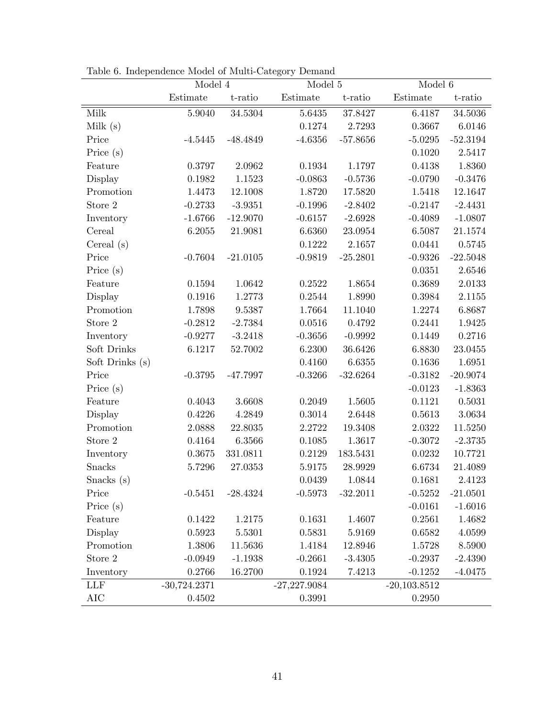|                  | Model $4$      |            | $\textbf{Model}\ 5$ |            | Model 6        |            |
|------------------|----------------|------------|---------------------|------------|----------------|------------|
|                  | Estimate       | t-ratio    | Estimate            | t-ratio    | Estimate       | t-ratio    |
| Milk             | 5.9040         | 34.5304    | 5.6435              | 37.8427    | 6.4187         | 34.5036    |
| Milk $(s)$       |                |            | 0.1274              | 2.7293     | 0.3667         | 6.0146     |
| Price            | $-4.5445$      | $-48.4849$ | $-4.6356$           | $-57.8656$ | $-5.0295$      | $-52.3194$ |
| Price $(s)$      |                |            |                     |            | 0.1020         | 2.5417     |
| Feature          | 0.3797         | 2.0962     | 0.1934              | 1.1797     | 0.4138         | 1.8360     |
| Display          | 0.1982         | 1.1523     | $-0.0863$           | $-0.5736$  | $-0.0790$      | $-0.3476$  |
| Promotion        | 1.4473         | 12.1008    | 1.8720              | 17.5820    | 1.5418         | 12.1647    |
| Store $\sqrt{2}$ | $-0.2733$      | $-3.9351$  | $-0.1996$           | $-2.8402$  | $-0.2147$      | $-2.4431$  |
| Inventory        | $-1.6766$      | $-12.9070$ | $-0.6157$           | $-2.6928$  | $-0.4089$      | $-1.0807$  |
| Cereal           | 6.2055         | 21.9081    | 6.6360              | 23.0954    | 6.5087         | 21.1574    |
| Cereal $(s)$     |                |            | 0.1222              | 2.1657     | 0.0441         | 0.5745     |
| Price            | $-0.7604$      | $-21.0105$ | $-0.9819$           | $-25.2801$ | $-0.9326$      | $-22.5048$ |
| Price $(s)$      |                |            |                     |            | 0.0351         | 2.6546     |
| Feature          | 0.1594         | 1.0642     | 0.2522              | 1.8654     | 0.3689         | 2.0133     |
| Display          | 0.1916         | 1.2773     | 0.2544              | 1.8990     | 0.3984         | 2.1155     |
| Promotion        | 1.7898         | 9.5387     | 1.7664              | 11.1040    | 1.2274         | 6.8687     |
| Store 2          | $-0.2812$      | $-2.7384$  | 0.0516              | 0.4792     | 0.2441         | 1.9425     |
| Inventory        | $-0.9277$      | $-3.2418$  | $-0.3656$           | $-0.9992$  | 0.1449         | 0.2716     |
| Soft Drinks      | 6.1217         | 52.7002    | 6.2300              | 36.6426    | 6.8830         | 23.0455    |
| Soft Drinks (s)  |                |            | 0.4160              | 6.6355     | 0.1636         | 1.6951     |
| Price            | $-0.3795$      | $-47.7997$ | $-0.3266$           | $-32.6264$ | $-0.3182$      | $-20.9074$ |
| Price $(s)$      |                |            |                     |            | $-0.0123$      | $-1.8363$  |
| Feature          | 0.4043         | 3.6608     | 0.2049              | 1.5605     | $0.1121\,$     | 0.5031     |
| Display          | 0.4226         | 4.2849     | 0.3014              | 2.6448     | 0.5613         | 3.0634     |
| Promotion        | 2.0888         | 22.8035    | 2.2722              | 19.3408    | $2.0322\,$     | 11.5250    |
| Store 2          | 0.4164         | 6.3566     | 0.1085              | 1.3617     | $-0.3072$      | $-2.3735$  |
| Inventory        | 0.3675         | 331.0811   | 0.2129              | 183.5431   | 0.0232         | 10.7721    |
| Snacks           | 5.7296         | 27.0353    | $5.9175\,$          | 28.9929    | 6.6734         | 21.4089    |
| Snacks (s)       |                |            | 0.0439              | 1.0844     | 0.1681         | 2.4123     |
| Price            | $-0.5451$      | $-28.4324$ | $-0.5973$           | $-32.2011$ | $-0.5252$      | $-21.0501$ |
| Price $(s)$      |                |            |                     |            | $-0.0161$      | $-1.6016$  |
| Feature          | 0.1422         | 1.2175     | 0.1631              | 1.4607     | 0.2561         | 1.4682     |
| Display          | 0.5923         | 5.5301     | 0.5831              | 5.9169     | 0.6582         | 4.0599     |
| Promotion        | 1.3806         | 11.5636    | 1.4184              | 12.8946    | 1.5728         | 8.5900     |
| Store $\sqrt{2}$ | $-0.0949$      | $-1.1938$  | $-0.2661$           | $-3.4305$  | $-0.2937$      | $-2.4390$  |
| Inventory        | 0.2766         | 16.2700    | 0.1924              | 7.4213     | $-0.1252$      | $-4.0475$  |
| <b>LLF</b>       | $-30,724.2371$ |            | $-27,227.9084$      |            | $-20,103.8512$ |            |
| AIC              | 0.4502         |            | 0.3991              |            | 0.2950         |            |

Table 6. Independence Model of Multi-Category Demand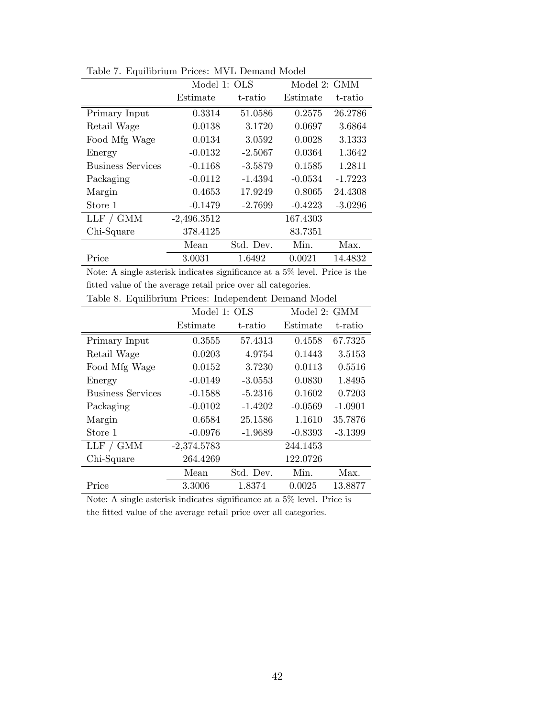|                          | Model 1: OLS  |           | Model 2: GMM |           |
|--------------------------|---------------|-----------|--------------|-----------|
|                          | Estimate      | t-ratio   | Estimate     | t-ratio   |
| Primary Input            | 0.3314        | 51.0586   | 0.2575       | 26.2786   |
| Retail Wage              | 0.0138        | 3.1720    | 0.0697       | 3.6864    |
| Food Mfg Wage            | 0.0134        | 3.0592    | 0.0028       | 3.1333    |
| Energy                   | $-0.0132$     | $-2.5067$ | 0.0364       | 1.3642    |
| <b>Business Services</b> | $-0.1168$     | $-3.5879$ | 0.1585       | 1.2811    |
| Packaging                | $-0.0112$     | $-1.4394$ | $-0.0534$    | $-1.7223$ |
| Margin                   | 0.4653        | 17.9249   | 0.8065       | 24.4308   |
| Store 1                  | $-0.1479$     | $-2.7699$ | $-0.4223$    | $-3.0296$ |
| LLF / GMM                | $-2,496.3512$ |           | 167.4303     |           |
| Chi-Square               | 378.4125      |           | 83.7351      |           |
|                          | Mean          | Std. Dev. | Min.         | Max.      |
| Price                    | 3.0031        | 1.6492    | 0.0021       | 14.4832   |

Table 7. Equilibrium Prices: MVL Demand Model

Note: A single asterisk indicates significance at a  $5\%$  level. Price is the fitted value of the average retail price over all categories.

Table 8. Equilibrium Prices: Independent Demand Model

|                          | Model 1: OLS  |           | Model 2: GMM |           |
|--------------------------|---------------|-----------|--------------|-----------|
|                          | Estimate      | t-ratio   | Estimate     | t-ratio   |
| Primary Input            | 0.3555        | 57.4313   | 0.4558       | 67.7325   |
| Retail Wage              | 0.0203        | 4.9754    | 0.1443       | 3.5153    |
| Food Mfg Wage            | 0.0152        | 3.7230    | 0.0113       | 0.5516    |
| Energy                   | $-0.0149$     | $-3.0553$ | 0.0830       | 1.8495    |
| <b>Business Services</b> | $-0.1588$     | $-5.2316$ | 0.1602       | 0.7203    |
| Packaging                | $-0.0102$     | $-1.4202$ | $-0.0569$    | $-1.0901$ |
| Margin                   | 0.6584        | 25.1586   | 1.1610       | 35.7876   |
| Store 1                  | $-0.0976$     | $-1.9689$ | $-0.8393$    | $-3.1399$ |
| LLF / GMM                | $-2,374.5783$ |           | 244.1453     |           |
| Chi-Square               | 264.4269      |           | 122.0726     |           |
|                          | Mean          | Std. Dev. | Min.         | Max.      |
| Price                    | 3.3006        | 1.8374    | 0.0025       | 13.8877   |

Note: A single asterisk indicates significance at a  $5\%$  level. Price is the fitted value of the average retail price over all categories.